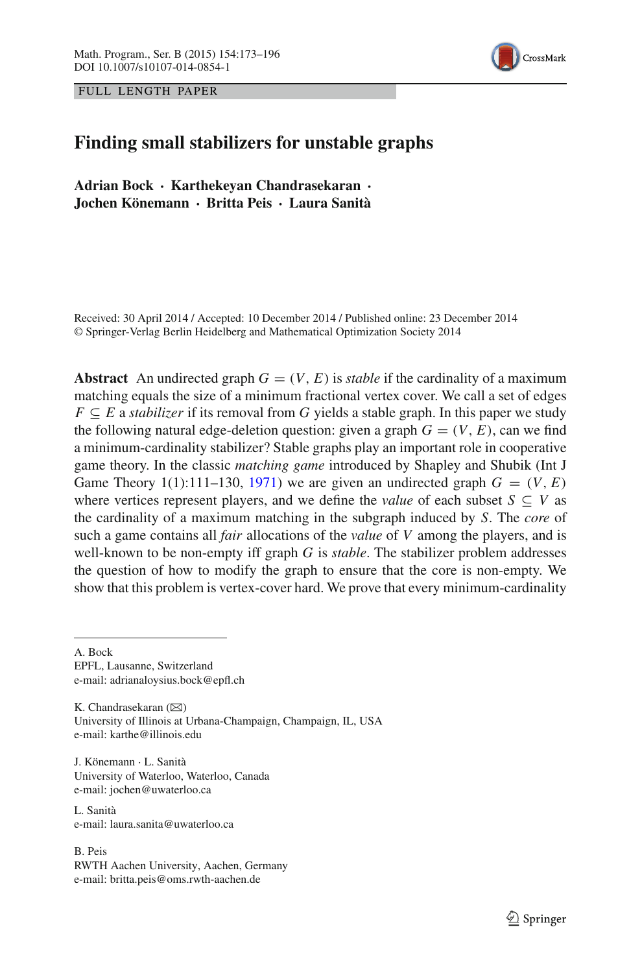



# **Finding small stabilizers for unstable graphs**

**Adrian Bock · Karthekeyan Chandrasekaran · Jochen Könemann · Britta Peis · Laura Sanità**

Received: 30 April 2014 / Accepted: 10 December 2014 / Published online: 23 December 2014 © Springer-Verlag Berlin Heidelberg and Mathematical Optimization Society 2014

**Abstract** An undirected graph  $G = (V, E)$  is *stable* if the cardinality of a maximum matching equals the size of a minimum fractional vertex cover. We call a set of edges  $F \subseteq E$  a *stabilizer* if its removal from *G* yields a stable graph. In this paper we study the following natural edge-deletion question: given a graph  $G = (V, E)$ , can we find a minimum-cardinality stabilizer? Stable graphs play an important role in cooperative game theory. In the classic *matching game* introduced by Shapley and Shubik (Int J Game Theory 1(1):111–130, [1971\)](#page-23-0) we are given an undirected graph  $G = (V, E)$ where vertices represent players, and we define the *value* of each subset  $S \subseteq V$  as the cardinality of a maximum matching in the subgraph induced by *S*. The *core* of such a game contains all *fair* allocations of the *value* of *V* among the players, and is well-known to be non-empty iff graph *G* is *stable*. The stabilizer problem addresses the question of how to modify the graph to ensure that the core is non-empty. We show that this problem is vertex-cover hard. We prove that every minimum-cardinality

A. Bock EPFL, Lausanne, Switzerland e-mail: adrianaloysius.bock@epfl.ch

K. Chandrasekaran  $(\boxtimes)$ University of Illinois at Urbana-Champaign, Champaign, IL, USA e-mail: karthe@illinois.edu

J. Könemann · L. Sanità University of Waterloo, Waterloo, Canada e-mail: jochen@uwaterloo.ca

L. Sanità e-mail: laura.sanita@uwaterloo.ca

B. Peis RWTH Aachen University, Aachen, Germany e-mail: britta.peis@oms.rwth-aachen.de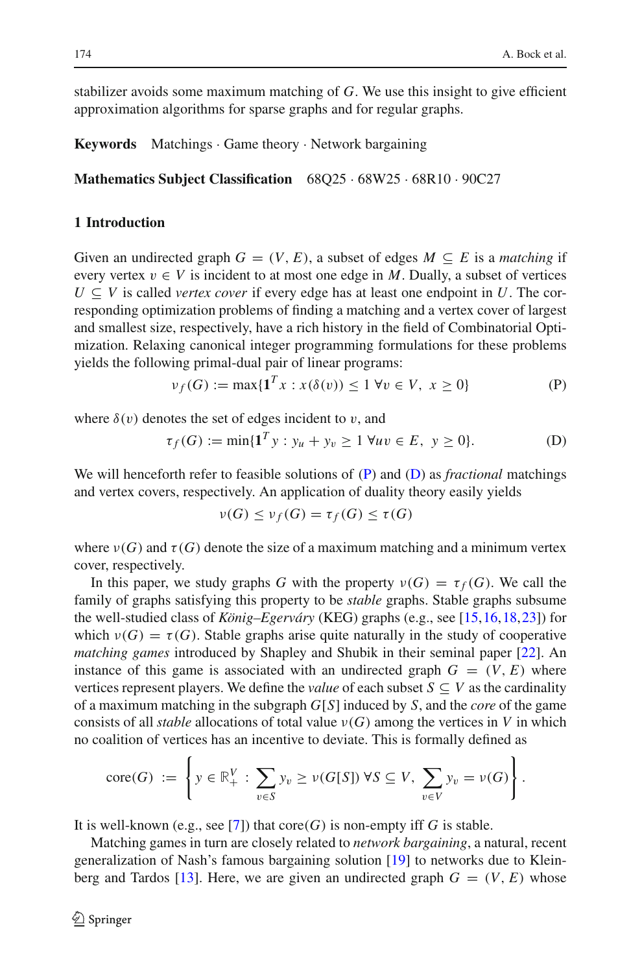stabilizer avoids some maximum matching of *G*. We use this insight to give efficient approximation algorithms for sparse graphs and for regular graphs.

**Keywords** Matchings · Game theory · Network bargaining

**Mathematics Subject Classification** 68Q25 · 68W25 · 68R10 · 90C27

# **1 Introduction**

Given an undirected graph  $G = (V, E)$ , a subset of edges  $M \subseteq E$  is a *matching* if every vertex  $v \in V$  is incident to at most one edge in *M*. Dually, a subset of vertices  $U \subseteq V$  is called *vertex cover* if every edge has at least one endpoint in *U*. The corresponding optimization problems of finding a matching and a vertex cover of largest and smallest size, respectively, have a rich history in the field of Combinatorial Optimization. Relaxing canonical integer programming formulations for these problems yields the following primal-dual pair of linear programs:

$$
\nu_f(G) := \max\{1^T x : x(\delta(v)) \le 1 \,\forall v \in V, \ x \ge 0\}
$$
 (P)

<span id="page-1-1"></span><span id="page-1-0"></span>where  $\delta(v)$  denotes the set of edges incident to v, and

$$
\tau_f(G) := \min\{1^T y : y_u + y_v \ge 1 \,\forall uv \in E, \ y \ge 0\}.
$$
 (D)

We will henceforth refer to feasible solutions of [\(P\)](#page-1-0) and [\(D\)](#page-1-1) as *fractional* matchings and vertex covers, respectively. An application of duality theory easily yields

$$
\nu(G) \leq \nu_f(G) = \tau_f(G) \leq \tau(G)
$$

where  $\nu(G)$  and  $\tau(G)$  denote the size of a maximum matching and a minimum vertex cover, respectively.

In this paper, we study graphs *G* with the property  $\nu(G) = \tau_f(G)$ . We call the family of graphs satisfying this property to be *stable* graphs. Stable graphs subsume the well-studied class of *König–Egerváry* (KEG) graphs (e.g., see [\[15,](#page-23-1)[16](#page-23-2)[,18](#page-23-3)[,23](#page-23-4)]) for which  $\nu(G) = \tau(G)$ . Stable graphs arise quite naturally in the study of cooperative *matching games* introduced by Shapley and Shubik in their seminal paper [\[22\]](#page-23-0). An instance of this game is associated with an undirected graph  $G = (V, E)$  where vertices represent players. We define the *value* of each subset  $S \subseteq V$  as the cardinality of a maximum matching in the subgraph *G*[*S*] induced by *S*, and the *core* of the game consists of all *stable* allocations of total value  $\nu(G)$  among the vertices in *V* in which no coalition of vertices has an incentive to deviate. This is formally defined as

$$
\operatorname{core}(G) := \left\{ y \in \mathbb{R}_+^V : \sum_{v \in S} y_v \geq \nu(G[S]) \ \forall S \subseteq V, \ \sum_{v \in V} y_v = \nu(G) \right\}.
$$

It is well-known (e.g., see [\[7](#page-22-0)]) that  $\text{core}(G)$  is non-empty iff *G* is stable.

Matching games in turn are closely related to *network bargaining*, a natural, recent generalization of Nash's famous bargaining solution [\[19\]](#page-23-5) to networks due to Klein-berg and Tardos [\[13\]](#page-23-6). Here, we are given an undirected graph  $G = (V, E)$  whose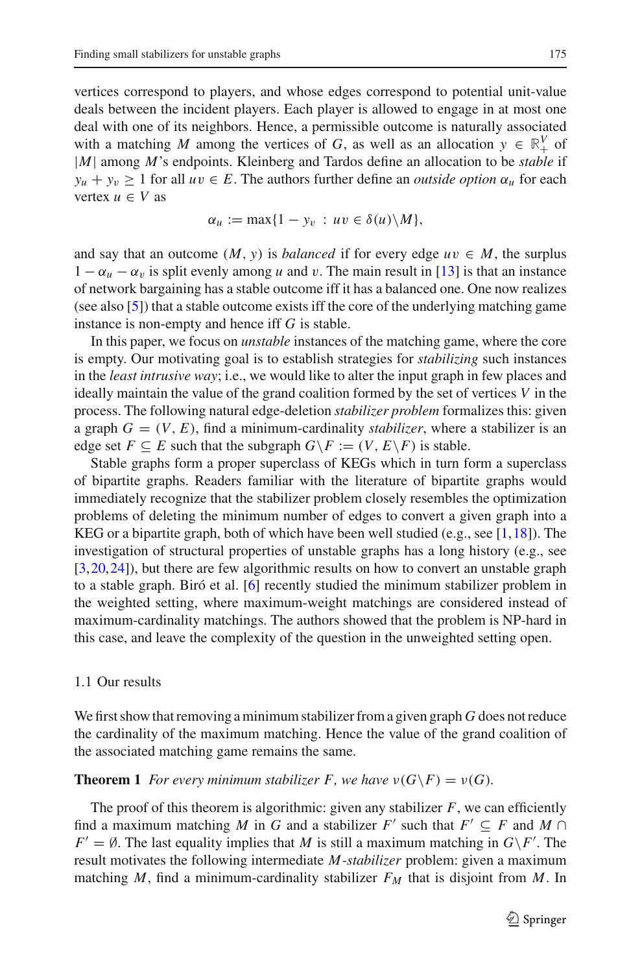vertices correspond to players, and whose edges correspond to potential unit-value deals between the incident players. Each player is allowed to engage in at most one deal with one of its neighbors. Hence, a permissible outcome is naturally associated with a matching *M* among the vertices of *G*, as well as an allocation  $y \in \mathbb{R}^V$  of |*M*| among *M*'s endpoints. Kleinberg and Tardos define an allocation to be *stable* if  $y_u + y_v \ge 1$  for all  $uv \in E$ . The authors further define an *outside option*  $\alpha_u$  for each vertex  $u \in V$  as

$$
\alpha_u := \max\{1 - y_v : uv \in \delta(u) \backslash M\},\
$$

and say that an outcome  $(M, y)$  is *balanced* if for every edge  $uv \in M$ , the surplus  $1 - \alpha_u - \alpha_v$  is split evenly among *u* and *v*. The main result in [\[13\]](#page-23-6) is that an instance of network bargaining has a stable outcome iff it has a balanced one. One now realizes (see also [\[5](#page-22-1)]) that a stable outcome exists iff the core of the underlying matching game instance is non-empty and hence iff *G* is stable.

In this paper, we focus on *unstable* instances of the matching game, where the core is empty. Our motivating goal is to establish strategies for *stabilizing* such instances in the *least intrusive way*; i.e., we would like to alter the input graph in few places and ideally maintain the value of the grand coalition formed by the set of vertices *V* in the process. The following natural edge-deletion *stabilizer problem* formalizes this: given a graph  $G = (V, E)$ , find a minimum-cardinality *stabilizer*, where a stabilizer is an edge set  $F \subseteq E$  such that the subgraph  $G \backslash F := (V, E \backslash F)$  is stable.

Stable graphs form a proper superclass of KEGs which in turn form a superclass of bipartite graphs. Readers familiar with the literature of bipartite graphs would immediately recognize that the stabilizer problem closely resembles the optimization problems of deleting the minimum number of edges to convert a given graph into a KEG or a bipartite graph, both of which have been well studied (e.g., see [\[1](#page-22-2)[,18](#page-23-3)]). The investigation of structural properties of unstable graphs has a long history (e.g., see [\[3](#page-22-3)[,20](#page-23-7),[24](#page-23-8)]), but there are few algorithmic results on how to convert an unstable graph to a stable graph. Biró et al. [\[6\]](#page-22-4) recently studied the minimum stabilizer problem in the weighted setting, where maximum-weight matchings are considered instead of maximum-cardinality matchings. The authors showed that the problem is NP-hard in this case, and leave the complexity of the question in the unweighted setting open.

## 1.1 Our results

We first show that removing a minimum stabilizer from a given graph *G* does not reduce the cardinality of the maximum matching. Hence the value of the grand coalition of the associated matching game remains the same.

<span id="page-2-0"></span>**Theorem 1** *For every minimum stabilizer F, we have*  $\nu(G \ F) = \nu(G)$ *.* 

The proof of this theorem is algorithmic: given any stabilizer  $F$ , we can efficiently find a maximum matching *M* in *G* and a stabilizer *F'* such that  $F' \subseteq F$  and  $M \cap$ *F'* =  $\emptyset$ . The last equality implies that *M* is still a maximum matching in  $G \backslash F'$ . The result motivates the following intermediate *M-stabilizer* problem: given a maximum matching *M*, find a minimum-cardinality stabilizer  $F_M$  that is disjoint from *M*. In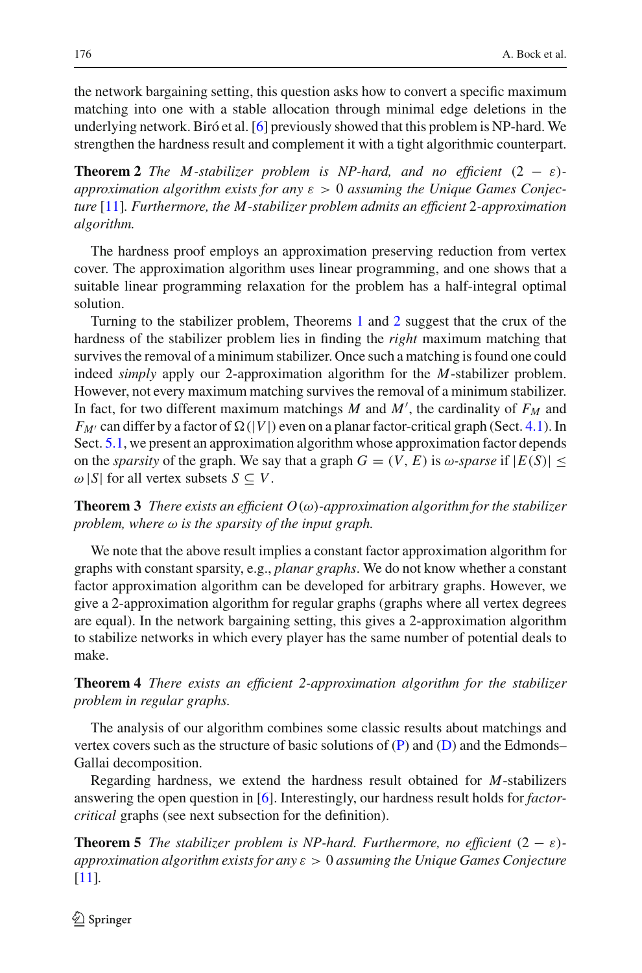the network bargaining setting, this question asks how to convert a specific maximum matching into one with a stable allocation through minimal edge deletions in the underlying network. Biró et al. [\[6](#page-22-4)] previously showed that this problem is NP-hard. We strengthen the hardness result and complement it with a tight algorithmic counterpart.

<span id="page-3-0"></span>**Theorem 2** *The M-stabilizer problem is NP-hard, and no efficient*  $(2 - \varepsilon)$ *approximation algorithm exists for any* ε > 0 *assuming the Unique Games Conjecture* [\[11\]](#page-23-9)*. Furthermore, the M-stabilizer problem admits an efficient* 2*-approximation algorithm.*

The hardness proof employs an approximation preserving reduction from vertex cover. The approximation algorithm uses linear programming, and one shows that a suitable linear programming relaxation for the problem has a half-integral optimal solution.

Turning to the stabilizer problem, Theorems [1](#page-2-0) and [2](#page-3-0) suggest that the crux of the hardness of the stabilizer problem lies in finding the *right* maximum matching that survives the removal of a minimum stabilizer. Once such a matching is found one could indeed *simply* apply our 2-approximation algorithm for the *M*-stabilizer problem. However, not every maximum matching survives the removal of a minimum stabilizer. In fact, for two different maximum matchings  $M$  and  $M'$ , the cardinality of  $F_M$  and  $F_{M'}$  can differ by a factor of  $\Omega(|V|)$  even on a planar factor-critical graph (Sect. [4.1\)](#page-12-0). In Sect. [5.1,](#page-13-0) we present an approximation algorithm whose approximation factor depends on the *sparsity* of the graph. We say that a graph  $G = (V, E)$  is  $\omega$ -*sparse* if  $|E(S)| \le$  $\omega$  |*S*| for all vertex subsets *S*  $\subseteq$  *V*.

<span id="page-3-1"></span>**Theorem 3** *There exists an efficient O*(ω)*-approximation algorithm for the stabilizer problem, where* ω *is the sparsity of the input graph.*

We note that the above result implies a constant factor approximation algorithm for graphs with constant sparsity, e.g., *planar graphs*. We do not know whether a constant factor approximation algorithm can be developed for arbitrary graphs. However, we give a 2-approximation algorithm for regular graphs (graphs where all vertex degrees are equal). In the network bargaining setting, this gives a 2-approximation algorithm to stabilize networks in which every player has the same number of potential deals to make.

<span id="page-3-2"></span>**Theorem 4** *There exists an efficient 2-approximation algorithm for the stabilizer problem in regular graphs.*

The analysis of our algorithm combines some classic results about matchings and vertex covers such as the structure of basic solutions of  $(P)$  and  $(D)$  and the Edmonds– Gallai decomposition.

Regarding hardness, we extend the hardness result obtained for *M*-stabilizers answering the open question in [\[6](#page-22-4)]. Interestingly, our hardness result holds for *factorcritical* graphs (see next subsection for the definition).

<span id="page-3-3"></span>**Theorem 5** *The stabilizer problem is NP-hard. Furthermore, no efficient*  $(2 - \varepsilon)$ *approximation algorithm exists for any* ε > 0 *assuming the Unique Games Conjecture* [\[11](#page-23-9)]*.*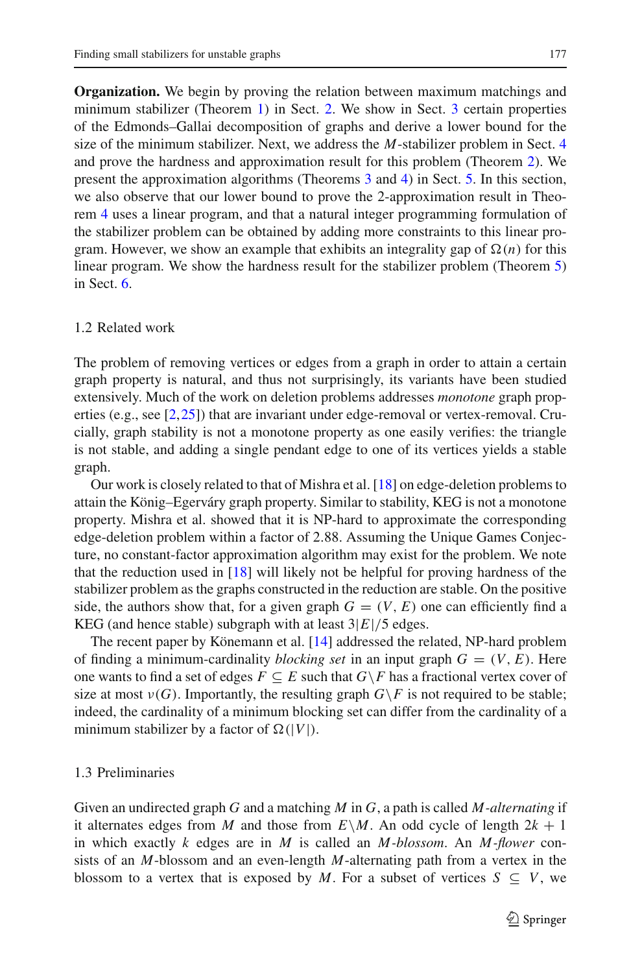**Organization.** We begin by proving the relation between maximum matchings and minimum stabilizer (Theorem [1\)](#page-2-0) in Sect. [2.](#page-6-0) We show in Sect. [3](#page-6-1) certain properties of the Edmonds–Gallai decomposition of graphs and derive a lower bound for the size of the minimum stabilizer. Next, we address the *M*-stabilizer problem in Sect. [4](#page-9-0) and prove the hardness and approximation result for this problem (Theorem [2\)](#page-3-0). We present the approximation algorithms (Theorems [3](#page-3-1) and [4\)](#page-3-2) in Sect. [5.](#page-13-1) In this section, we also observe that our lower bound to prove the 2-approximation result in Theorem [4](#page-3-2) uses a linear program, and that a natural integer programming formulation of the stabilizer problem can be obtained by adding more constraints to this linear program. However, we show an example that exhibits an integrality gap of  $\Omega(n)$  for this linear program. We show the hardness result for the stabilizer problem (Theorem [5\)](#page-3-3) in Sect. [6.](#page-20-0)

## 1.2 Related work

The problem of removing vertices or edges from a graph in order to attain a certain graph property is natural, and thus not surprisingly, its variants have been studied extensively. Much of the work on deletion problems addresses *monotone* graph properties (e.g., see [\[2](#page-22-5)[,25\]](#page-23-10)) that are invariant under edge-removal or vertex-removal. Crucially, graph stability is not a monotone property as one easily verifies: the triangle is not stable, and adding a single pendant edge to one of its vertices yields a stable graph.

Our work is closely related to that of Mishra et al. [\[18\]](#page-23-3) on edge-deletion problems to attain the König–Egerváry graph property. Similar to stability, KEG is not a monotone property. Mishra et al. showed that it is NP-hard to approximate the corresponding edge-deletion problem within a factor of 2.88. Assuming the Unique Games Conjecture, no constant-factor approximation algorithm may exist for the problem. We note that the reduction used in [\[18](#page-23-3)] will likely not be helpful for proving hardness of the stabilizer problem as the graphs constructed in the reduction are stable. On the positive side, the authors show that, for a given graph  $G = (V, E)$  one can efficiently find a KEG (and hence stable) subgraph with at least  $3|E|/5$  edges.

The recent paper by Könemann et al. [\[14\]](#page-23-11) addressed the related, NP-hard problem of finding a minimum-cardinality *blocking set* in an input graph  $G = (V, E)$ . Here one wants to find a set of edges  $F \subseteq E$  such that  $G \backslash F$  has a fractional vertex cover of size at most  $v(G)$ . Importantly, the resulting graph  $G\backslash F$  is not required to be stable; indeed, the cardinality of a minimum blocking set can differ from the cardinality of a minimum stabilizer by a factor of  $\Omega(|V|)$ .

# 1.3 Preliminaries

Given an undirected graph *G* and a matching *M* in *G*, a path is called *M-alternating* if it alternates edges from *M* and those from  $E \setminus M$ . An odd cycle of length  $2k + 1$ in which exactly *k* edges are in *M* is called an *M-blossom*. An *M-flower* consists of an *M*-blossom and an even-length *M*-alternating path from a vertex in the blossom to a vertex that is exposed by *M*. For a subset of vertices  $S \subseteq V$ , we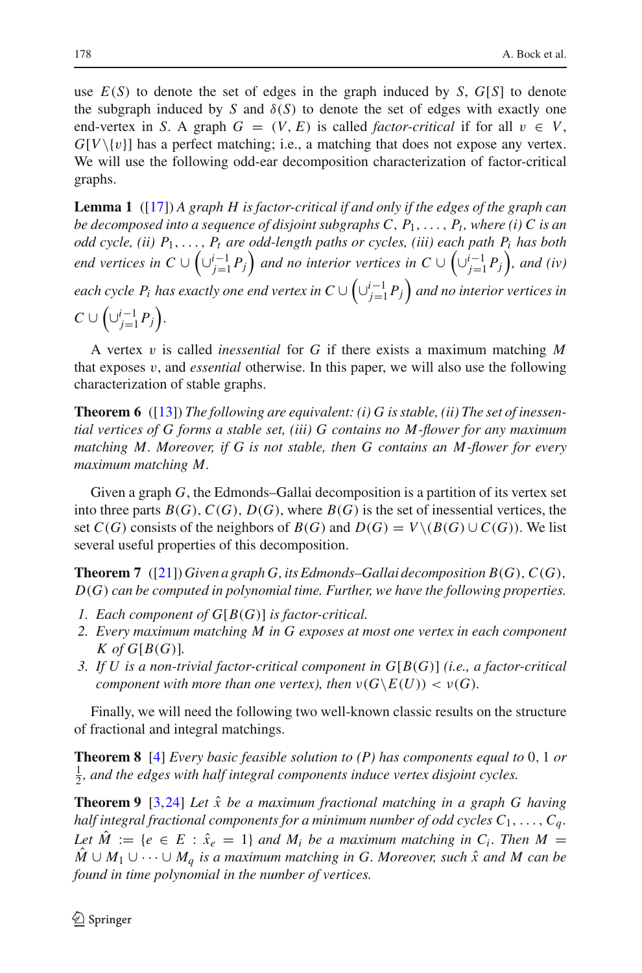use  $E(S)$  to denote the set of edges in the graph induced by *S*,  $G[S]$  to denote the subgraph induced by *S* and  $\delta(S)$  to denote the set of edges with exactly one end-vertex in *S*. A graph  $G = (V, E)$  is called *factor-critical* if for all  $v \in V$ ,  $G[V\setminus\{v\}]$  has a perfect matching; i.e., a matching that does not expose any vertex. We will use the following odd-ear decomposition characterization of factor-critical graphs.

<span id="page-5-2"></span>**Lemma 1** ([\[17](#page-23-12)]) *A graph H is factor-critical if and only if the edges of the graph can be decomposed into a sequence of disjoint subgraphs C,*  $P_1, \ldots, P_t$ *, where (i) C is an odd cycle, (ii) P*1,..., *Pt are odd-length paths or cycles, (iii) each path Pi has both end vertices in*  $C \cup \left(\bigcup_{j=1}^{i-1} P_j\right)$  and no interior vertices in  $C \cup \left(\bigcup_{j=1}^{i-1} P_j\right)$ , and (iv) each cycle  $P_i$  has exactly one end vertex in  $C \cup \left( \cup_{j=1}^{i-1} P_j \right)$  and no interior vertices in  $C \cup \left( \cup_{j=1}^{i-1} P_j \right)$ .

A vertex v is called *inessential* for *G* if there exists a maximum matching *M* that exposes v, and *essential* otherwise. In this paper, we will also use the following characterization of stable graphs.

<span id="page-5-0"></span>**Theorem 6** ([\[13](#page-23-6)]) *The following are equivalent: (i) G is stable, (ii) The set of inessential vertices of G forms a stable set, (iii) G contains no M-flower for any maximum matching M. Moreover, if G is not stable, then G contains an M-flower for every maximum matching M.*

Given a graph *G*, the Edmonds–Gallai decomposition is a partition of its vertex set into three parts  $B(G)$ ,  $C(G)$ ,  $D(G)$ , where  $B(G)$  is the set of inessential vertices, the set  $C(G)$  consists of the neighbors of  $B(G)$  and  $D(G) = V \setminus (B(G) \cup C(G))$ . We list several useful properties of this decomposition.

<span id="page-5-1"></span>**Theorem 7** ([\[21](#page-23-13)])*Given a graph G, its Edmonds–Gallai decomposition B*(*G*),*C*(*G*), *D*(*G*) *can be computed in polynomial time. Further, we have the following properties.*

- *1. Each component of G*[*B*(*G*)] *is factor-critical.*
- *2. Every maximum matching M in G exposes at most one vertex in each component*  $K$  of  $G[B(G)]$ .
- *3. If U is a non-trivial factor-critical component in G*[*B*(*G*)] *(i.e., a factor-critical component with more than one vertex), then*  $\nu(G\backslash E(U)) < \nu(G)$ *.*

Finally, we will need the following two well-known classic results on the structure of fractional and integral matchings.

**Theorem 8** [\[4](#page-22-6)] *Every basic feasible solution to (P) has components equal to* 0, 1 *or*  $\frac{1}{2}$ , and the edges with half integral components induce vertex disjoint cycles.

<span id="page-5-3"></span>**Theorem 9** [\[3](#page-22-3)[,24](#page-23-8)] Let  $\hat{x}$  be a maximum fractional matching in a graph G having *half integral fractional components for a minimum number of odd cycles*  $C_1, \ldots, C_a$ . *Let*  $\hat{M} := \{e \in E : \hat{x}_e = 1\}$  *and*  $M_i$  *be a maximum matching in C<sub>i</sub>. Then*  $M =$  $\hat{M}$  ∪  $M_1$  ∪  $\cdots$  ∪  $M_a$  *is a maximum matching in G. Moreover, such*  $\hat{x}$  *and*  $M$  *can be found in time polynomial in the number of vertices.*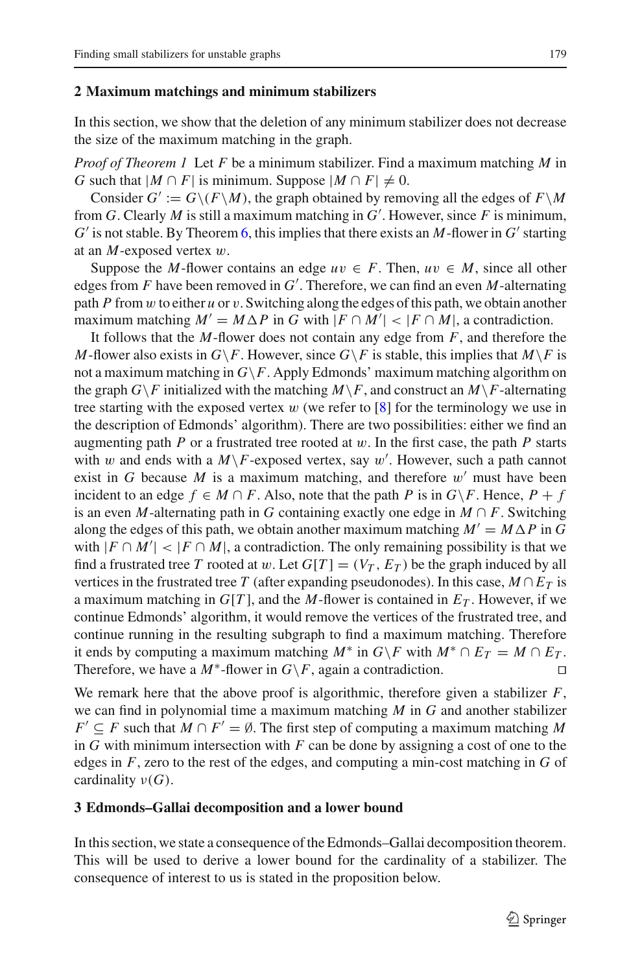#### <span id="page-6-0"></span>**2 Maximum matchings and minimum stabilizers**

In this section, we show that the deletion of any minimum stabilizer does not decrease the size of the maximum matching in the graph.

*Proof of Theorem 1* Let *F* be a minimum stabilizer. Find a maximum matching *M* in *G* such that  $|M \cap F|$  is minimum. Suppose  $|M \cap F| \neq 0$ .

Consider  $G' := G \setminus (F \setminus M)$ , the graph obtained by removing all the edges of  $F \setminus M$ from *G*. Clearly *M* is still a maximum matching in *G* . However, since *F* is minimum,  $G'$  is not stable. By Theorem [6,](#page-5-0) this implies that there exists an M-flower in  $G'$  starting at an *M*-exposed vertex w.

Suppose the *M*-flower contains an edge  $uv \in F$ . Then,  $uv \in M$ , since all other edges from *F* have been removed in *G* . Therefore, we can find an even *M*-alternating path *P* from  $w$  to either  $u$  or  $v$ . Switching along the edges of this path, we obtain another maximum matching  $M' = M \Delta P$  in *G* with  $|F \cap M'| < |F \cap M|$ , a contradiction.

It follows that the *M*-flower does not contain any edge from *F*, and therefore the *M*-flower also exists in *G*\*F*. However, since *G*\*F* is stable, this implies that *M*\*F* is not a maximum matching in  $G \backslash F$ . Apply Edmonds' maximum matching algorithm on the graph  $G\backslash F$  initialized with the matching  $M\backslash F$ , and construct an  $M\backslash F$ -alternating tree starting with the exposed vertex  $w$  (we refer to [\[8\]](#page-22-7) for the terminology we use in the description of Edmonds' algorithm). There are two possibilities: either we find an augmenting path  $P$  or a frustrated tree rooted at  $w$ . In the first case, the path  $P$  starts with w and ends with a  $M\$ F-exposed vertex, say w'. However, such a path cannot exist in *G* because *M* is a maximum matching, and therefore  $w'$  must have been incident to an edge  $f \in M \cap F$ . Also, note that the path *P* is in  $G \backslash F$ . Hence,  $P + f$ is an even *M*-alternating path in *G* containing exactly one edge in  $M \cap F$ . Switching along the edges of this path, we obtain another maximum matching  $M' = M \Delta P$  in G with  $|F \cap M'| < |F \cap M|$ , a contradiction. The only remaining possibility is that we find a frustrated tree *T* rooted at w. Let  $G[T] = (V_T, E_T)$  be the graph induced by all vertices in the frustrated tree *T* (after expanding pseudonodes). In this case,  $M \cap E_T$  is a maximum matching in  $G[T]$ , and the *M*-flower is contained in  $E_T$ . However, if we continue Edmonds' algorithm, it would remove the vertices of the frustrated tree, and continue running in the resulting subgraph to find a maximum matching. Therefore it ends by computing a maximum matching *M*<sup>∗</sup> in *G*\*F* with *M*<sup>∗</sup> ∩ *E<sub>T</sub>* = *M* ∩ *E<sub>T</sub>*.<br>Therefore, we have a *M*<sup>∗</sup>-flower in *G*\*F*, again a contradiction. Therefore, we have a  $M^*$ -flower in  $G \backslash F$ , again a contradiction.

We remark here that the above proof is algorithmic, therefore given a stabilizer *F*, we can find in polynomial time a maximum matching *M* in *G* and another stabilizer *F*' ⊆ *F* such that  $M \cap F' = \emptyset$ . The first step of computing a maximum matching M in *G* with minimum intersection with *F* can be done by assigning a cost of one to the edges in *F*, zero to the rest of the edges, and computing a min-cost matching in *G* of cardinality  $\nu(G)$ .

## <span id="page-6-1"></span>**3 Edmonds–Gallai decomposition and a lower bound**

<span id="page-6-2"></span>In this section, we state a consequence of the Edmonds–Gallai decomposition theorem. This will be used to derive a lower bound for the cardinality of a stabilizer. The consequence of interest to us is stated in the proposition below.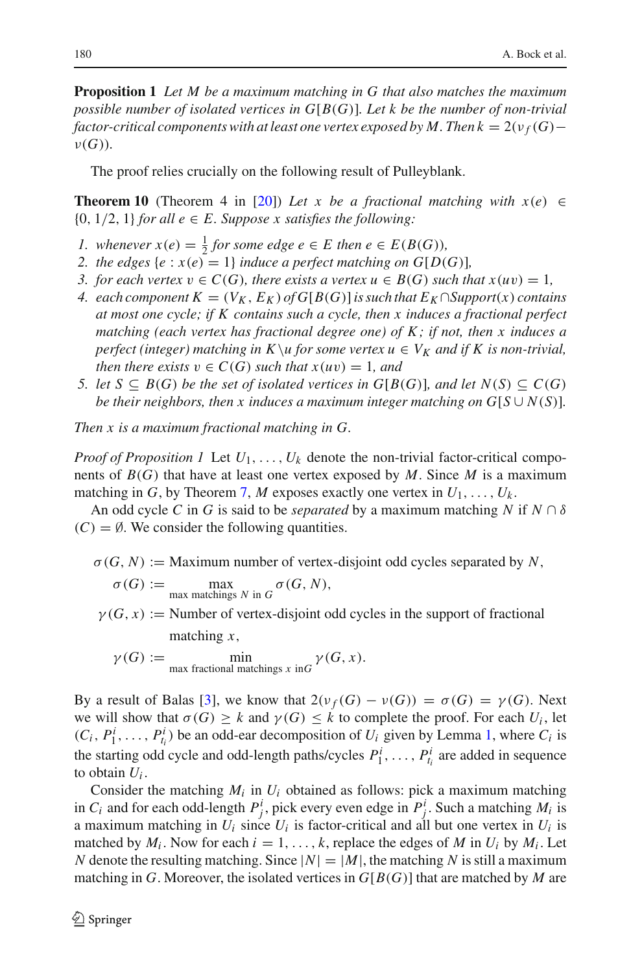**Proposition 1** *Let M be a maximum matching in G that also matches the maximum possible number of isolated vertices in G*[*B*(*G*)]*. Let k be the number of non-trivial factor-critical components with at least one vertex exposed by M. Then k* =  $2(\nu_f(G)$ ν(*G*))*.*

The proof relies crucially on the following result of Pulleyblank.

<span id="page-7-0"></span>**Theorem 10** (Theorem 4 in [\[20](#page-23-7)]) Let x be a fractional matching with  $x(e) \in$  ${0, 1/2, 1}$  *for all e*  $\in$  *E. Suppose x satisfies the following:* 

- *1.* whenever  $x(e) = \frac{1}{2}$  for some edge  $e \in E$  then  $e \in E(B(G))$ ,
- *2. the edges*  $\{e : x(e) = 1\}$  *induce a perfect matching on G*[*D*(*G*)]*,*
- *3. for each vertex*  $v \in C(G)$ *, there exists a vertex*  $u \in B(G)$  *such that*  $x(uv) = 1$ *,*
- *4. each component*  $K = (V_K, E_K)$  *of*  $G[B(G)]$  *is such that*  $E_K \cap Support(x)$  *contains at most one cycle; if K contains such a cycle, then x induces a fractional perfect matching (each vertex has fractional degree one) of K ; if not, then x induces a perfect (integer) matching in K \u for some vertex*  $u \in V_K$  *and if K is non-trivial, then there exists*  $v \in C(G)$  *such that*  $x(uv) = 1$ *, and*
- *5. let S* ⊆ *B*(*G*) *be the set of isolated vertices in G*[*B*(*G*)]*, and let*  $N(S)$  ⊆  $C(G)$ *be their neighbors, then x induces a maximum integer matching on*  $G[S \cup N(S)]$ *.*

*Then x is a maximum fractional matching in G.*

*Proof of Proposition 1* Let  $U_1, \ldots, U_k$  denote the non-trivial factor-critical components of *B*(*G*) that have at least one vertex exposed by *M*. Since *M* is a maximum matching in *G*, by Theorem [7,](#page-5-1) *M* exposes exactly one vertex in  $U_1, \ldots, U_k$ .

An odd cycle *C* in *G* is said to be *separated* by a maximum matching *N* if  $N \cap \delta$  $(C) = \emptyset$ . We consider the following quantities.

 $\sigma(G, N) :=$  Maximum number of vertex-disjoint odd cycles separated by N,

$$
\sigma(G) := \max_{\text{max matchings } N \text{ in } G} \sigma(G, N),
$$

 $\gamma(G, x) :=$  Number of vertex-disjoint odd cycles in the support of fractional matching *x*,

$$
\gamma(G) := \min_{\text{max fractional matchings } x \text{ in } G} \gamma(G, x).
$$

By a result of Balas [\[3\]](#page-22-3), we know that  $2(\nu_f(G) - \nu(G)) = \sigma(G) = \gamma(G)$ . Next we will show that  $\sigma(G) \geq k$  and  $\gamma(G) \leq k$  to complete the proof. For each  $U_i$ , let  $(C_i, P_1^i, \ldots, P_{t_i}^i)$  be an odd-ear decomposition of  $U_i$  given by Lemma [1,](#page-5-2) where  $C_i$  is the starting odd cycle and odd-length paths/cycles  $P_1^i$ , ...,  $P_{t_i}^i$  are added in sequence to obtain *Ui* .

Consider the matching  $M_i$  in  $U_i$  obtained as follows: pick a maximum matching in  $C_i$  and for each odd-length  $P_j^i$ , pick every even edge in  $P_j^i$ . Such a matching  $M_i$  is a maximum matching in  $U_i$  since  $U_i$  is factor-critical and all but one vertex in  $U_i$  is matched by  $M_i$ . Now for each  $i = 1, \ldots, k$ , replace the edges of M in  $U_i$  by  $M_i$ . Let *N* denote the resulting matching. Since  $|N|=|M|$ , the matching *N* is still a maximum matching in *G*. Moreover, the isolated vertices in  $G[B(G)]$  that are matched by *M* are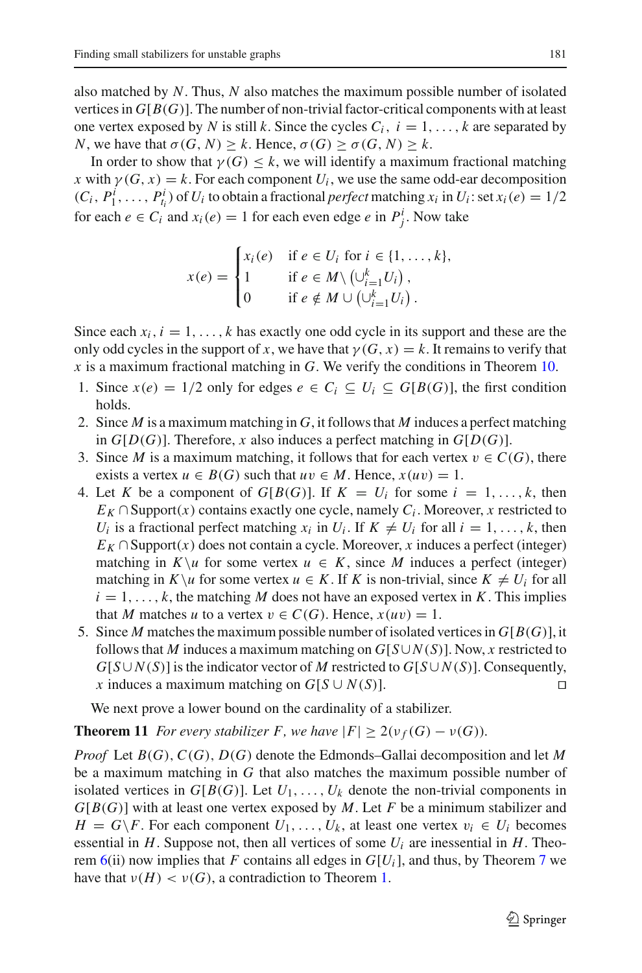also matched by *N*. Thus, *N* also matches the maximum possible number of isolated vertices in  $G[B(G)]$ . The number of non-trivial factor-critical components with at least one vertex exposed by *N* is still *k*. Since the cycles  $C_i$ ,  $i = 1, \ldots, k$  are separated by *N*, we have that  $\sigma(G, N) \geq k$ . Hence,  $\sigma(G) \geq \sigma(G, N) \geq k$ .

In order to show that  $\gamma(G) \leq k$ , we will identify a maximum fractional matching *x* with  $\gamma(G, x) = k$ . For each component  $U_i$ , we use the same odd-ear decomposition  $(C_i, P_1^i, \ldots, P_{t_i}^i)$  of  $U_i$  to obtain a fractional *perfect* matching  $x_i$  in  $U_i$ : set  $x_i(e) = 1/2$ for each  $e \in C_i$  and  $x_i(e) = 1$  for each even edge  $e$  in  $P^i_j$ . Now take

$$
x(e) = \begin{cases} x_i(e) & \text{if } e \in U_i \text{ for } i \in \{1, ..., k\}, \\ 1 & \text{if } e \in M \setminus \left(\cup_{i=1}^k U_i\right), \\ 0 & \text{if } e \notin M \cup \left(\cup_{i=1}^k U_i\right). \end{cases}
$$

Since each  $x_i$ ,  $i = 1, \ldots, k$  has exactly one odd cycle in its support and these are the only odd cycles in the support of *x*, we have that  $\gamma(G, x) = k$ . It remains to verify that *x* is a maximum fractional matching in *G*. We verify the conditions in Theorem [10.](#page-7-0)

- 1. Since  $x(e) = 1/2$  only for edges  $e \in C_i \subset U_i \subset G[B(G)]$ , the first condition holds.
- 2. Since *M* is a maximum matching in *G*, it follows that *M* induces a perfect matching in  $G[D(G)]$ . Therefore, *x* also induces a perfect matching in  $G[D(G)]$ .
- 3. Since *M* is a maximum matching, it follows that for each vertex  $v \in C(G)$ , there exists a vertex  $u \in B(G)$  such that  $uv \in M$ . Hence,  $x(uv) = 1$ .
- 4. Let K be a component of  $G[B(G)]$ . If  $K = U_i$  for some  $i = 1, \ldots, k$ , then  $E_K \cap$  Support(*x*) contains exactly one cycle, namely  $C_i$ . Moreover, *x* restricted to *U<sub>i</sub>* is a fractional perfect matching  $x_i$  in  $U_i$ . If  $K \neq U_i$  for all  $i = 1, \ldots, k$ , then  $E_K \cap \text{Support}(x)$  does not contain a cycle. Moreover, *x* induces a perfect (integer) matching in  $K\ u$  for some vertex  $u \in K$ , since M induces a perfect (integer) matching in  $K\setminus u$  for some vertex  $u \in K$ . If K is non-trivial, since  $K \neq U_i$  for all  $i = 1, \ldots, k$ , the matching *M* does not have an exposed vertex in *K*. This implies that *M* matches *u* to a vertex  $v \in C(G)$ . Hence,  $x(uv) = 1$ .
- 5. Since *M* matches the maximum possible number of isolated vertices in  $G[B(G)]$ , it follows that *M* induces a maximum matching on  $G[S \cup N(S)]$ . Now, *x* restricted to  $G[S \cup N(S)]$  is the indicator vector of *M* restricted to  $G[S \cup N(S)]$ . Consequently, *x* induces a maximum matching on *G*[ $S$  ∪  $N(S)$ ]. □

<span id="page-8-0"></span>We next prove a lower bound on the cardinality of a stabilizer.

**Theorem 11** *For every stabilizer F, we have*  $|F| \geq 2(\nu_f(G) - \nu(G))$ *.* 

*Proof* Let *B*(*G*),*C*(*G*), *D*(*G*) denote the Edmonds–Gallai decomposition and let *M* be a maximum matching in *G* that also matches the maximum possible number of isolated vertices in  $G[B(G)]$ . Let  $U_1, \ldots, U_k$  denote the non-trivial components in *G*[*B*(*G*)] with at least one vertex exposed by *M*. Let *F* be a minimum stabilizer and  $H = G \backslash F$ . For each component  $U_1, \ldots, U_k$ , at least one vertex  $v_i \in U_i$  becomes essential in  $H$ . Suppose not, then all vertices of some  $U_i$  are inessential in  $H$ . Theorem  $6(i)$  $6(i)$  now implies that *F* contains all edges in  $G[U_i]$ , and thus, by Theorem [7](#page-5-1) we have that  $\nu(H) < \nu(G)$ , a contradiction to Theorem [1.](#page-2-0)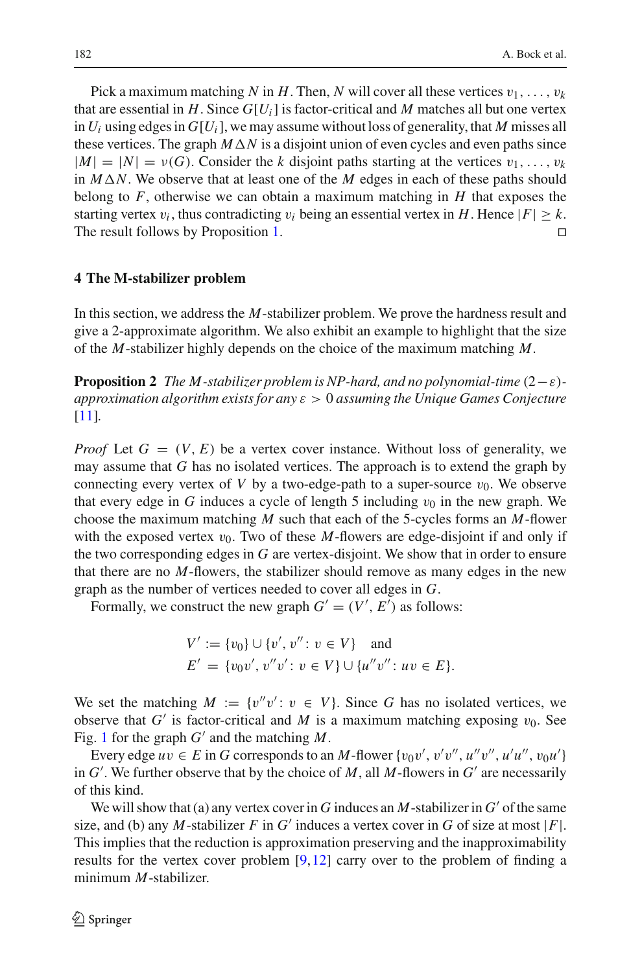Pick a maximum matching *N* in *H*. Then, *N* will cover all these vertices  $v_1, \ldots, v_k$ that are essential in  $H$ . Since  $G[U_i]$  is factor-critical and  $M$  matches all but one vertex in  $U_i$  using edges in  $G[U_i]$ , we may assume without loss of generality, that *M* misses all these vertices. The graph  $M\Delta N$  is a disjoint union of even cycles and even paths since  $|M| = |N| = v(G)$ . Consider the *k* disjoint paths starting at the vertices  $v_1, \ldots, v_k$ in  $M\Delta N$ . We observe that at least one of the *M* edges in each of these paths should belong to  $F$ , otherwise we can obtain a maximum matching in  $H$  that exposes the starting vertex  $v_i$ , thus contradicting  $v_i$  being an essential vertex in *H*. Hence  $|F| \ge k$ .<br>The result follows by Proposition 1. The result follows by Proposition [1.](#page-6-2)

## <span id="page-9-0"></span>**4 The M-stabilizer problem**

In this section, we address the *M*-stabilizer problem. We prove the hardness result and give a 2-approximate algorithm. We also exhibit an example to highlight that the size of the *M*-stabilizer highly depends on the choice of the maximum matching *M*.

<span id="page-9-1"></span>**Proposition 2** *The M-stabilizer problem is NP-hard, and no polynomial-time*  $(2 - \varepsilon)$ *approximation algorithm exists for any* ε > 0 *assuming the Unique Games Conjecture* [\[11](#page-23-9)]*.*

*Proof* Let  $G = (V, E)$  be a vertex cover instance. Without loss of generality, we may assume that *G* has no isolated vertices. The approach is to extend the graph by connecting every vertex of *V* by a two-edge-path to a super-source  $v_0$ . We observe that every edge in *G* induces a cycle of length 5 including  $v_0$  in the new graph. We choose the maximum matching *M* such that each of the 5-cycles forms an *M*-flower with the exposed vertex  $v_0$ . Two of these *M*-flowers are edge-disjoint if and only if the two corresponding edges in *G* are vertex-disjoint. We show that in order to ensure that there are no *M*-flowers, the stabilizer should remove as many edges in the new graph as the number of vertices needed to cover all edges in *G*.

Formally, we construct the new graph  $G' = (V', E')$  as follows:

$$
V' := \{v_0\} \cup \{v', v'' : v \in V\} \text{ and}
$$
  
 
$$
E' = \{v_0v', v''v' : v \in V\} \cup \{u''v'' : uv \in E\}.
$$

We set the matching  $M := \{v''v': v \in V\}$ . Since G has no isolated vertices, we observe that  $G'$  is factor-critical and M is a maximum matching exposing  $v_0$ . See Fig. [1](#page-10-0) for the graph  $G'$  and the matching  $M$ .

Every edge  $uv \in E$  in *G* corresponds to an *M*-flower  $\{v_0v', v'v'', u''v'', u'u'', v_0u'\}$ in  $G'$ . We further observe that by the choice of  $M$ , all  $M$ -flowers in  $G'$  are necessarily of this kind.

We will show that (a) any vertex cover in *G* induces an *M*-stabilizer in  $G'$  of the same size, and (b) any *M*-stabilizer *F* in  $G'$  induces a vertex cover in  $G$  of size at most  $|F|$ . This implies that the reduction is approximation preserving and the inapproximability results for the vertex cover problem  $[9,12]$  $[9,12]$  $[9,12]$  carry over to the problem of finding a minimum *M*-stabilizer.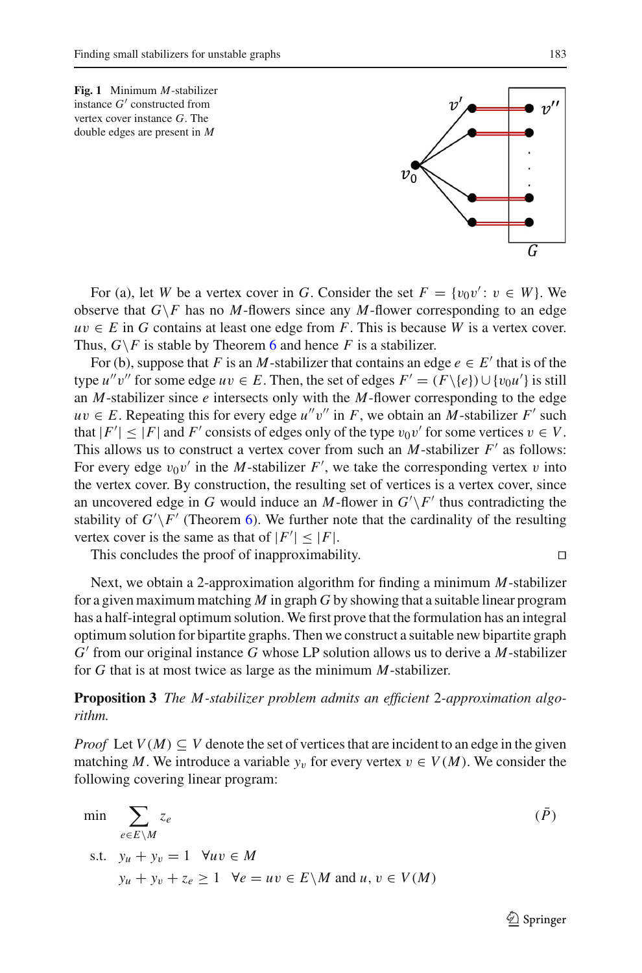<span id="page-10-0"></span>**Fig. 1** Minimum *M*-stabilizer instance  $G'$  constructed from vertex cover instance *G*. The double edges are present in *M*

For (a), let *W* be a vertex cover in *G*. Consider the set  $F = \{v_0v' : v \in W\}$ . We observe that  $G \backslash F$  has no *M*-flowers since any *M*-flower corresponding to an edge  $uv \in E$  in *G* contains at least one edge from *F*. This is because *W* is a vertex cover. Thus,  $G \backslash F$  is stable by Theorem [6](#page-5-0) and hence *F* is a stabilizer.

For (b), suppose that *F* is an *M*-stabilizer that contains an edge  $e \in E'$  that is of the type *u*<sup>*''*</sup> *v*<sup>''</sup> for some edge *u*  $v \in E$ . Then, the set of edges  $F' = (F \setminus \{e\}) \cup \{v_0 u'\}$  is still an *M*-stabilizer since *e* intersects only with the *M*-flower corresponding to the edge  $uv \in E$ . Repeating this for every edge  $u''v''$  in *F*, we obtain an *M*-stabilizer *F'* such that  $|F'| \leq |F|$  and  $F'$  consists of edges only of the type  $v_0v'$  for some vertices  $v \in V$ . This allows us to construct a vertex cover from such an  $M$ -stabilizer  $F'$  as follows: For every edge  $v_0v'$  in the *M*-stabilizer  $F'$ , we take the corresponding vertex v into the vertex cover. By construction, the resulting set of vertices is a vertex cover, since an uncovered edge in *G* would induce an *M*-flower in  $G' \backslash F'$  thus contradicting the stability of  $G' \backslash F'$  (Theorem [6\)](#page-5-0). We further note that the cardinality of the resulting vertex cover is the same as that of  $|F'| \leq |F|$ .

This concludes the proof of inapproximability.

Next, we obtain a 2-approximation algorithm for finding a minimum *M*-stabilizer for a given maximum matching *M* in graph *G* by showing that a suitable linear program has a half-integral optimum solution. We first prove that the formulation has an integral optimum solution for bipartite graphs. Then we construct a suitable new bipartite graph *G* from our original instance *G* whose LP solution allows us to derive a *M*-stabilizer for *G* that is at most twice as large as the minimum *M*-stabilizer.

<span id="page-10-1"></span>**Proposition 3** *The M-stabilizer problem admits an efficient* 2*-approximation algorithm.*

*Proof* Let  $V(M) \subseteq V$  denote the set of vertices that are incident to an edge in the given matching *M*. We introduce a variable  $y_v$  for every vertex  $v \in V(M)$ . We consider the following covering linear program:

$$
\min \sum_{e \in E \setminus M} z_e
$$
\n
$$
\text{s.t.} \quad y_u + y_v = 1 \quad \forall uv \in M
$$
\n
$$
y_u + y_v + z_e \ge 1 \quad \forall e = uv \in E \setminus M \text{ and } u, v \in V(M)
$$
\n
$$
\text{(P)}
$$

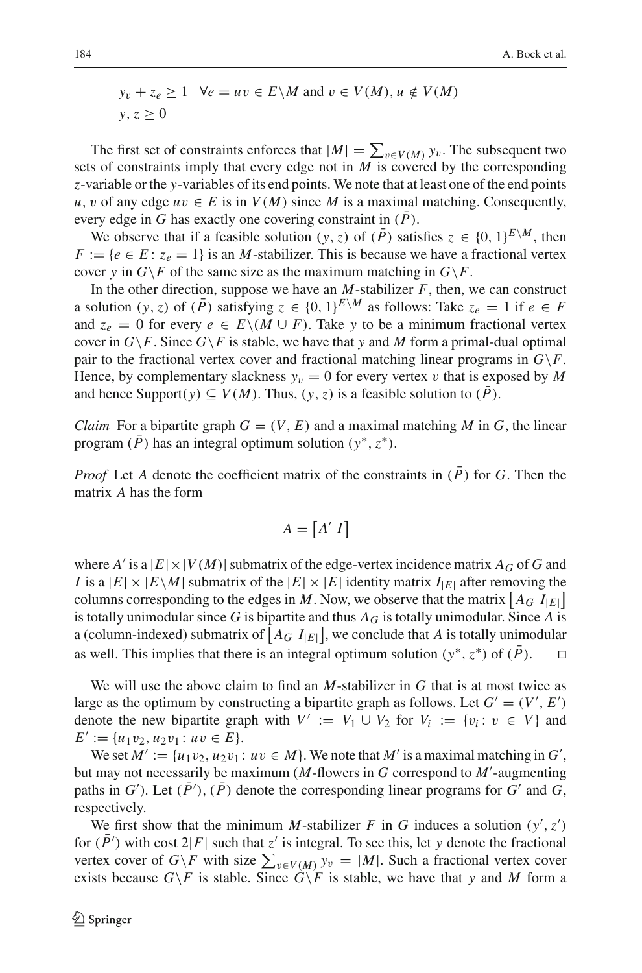$$
y_v + z_e \ge 1
$$
  $\forall e = uv \in E \setminus M$  and  $v \in V(M), u \notin V(M)$   
 $y, z \ge 0$ 

The first set of constraints enforces that  $|M| = \sum_{v \in V(M)} y_v$ . The subsequent two sets of constraints imply that every edge not in *M* is covered by the corresponding *z*-variable or the *y*-variables of its end points. We note that at least one of the end points *u*, *v* of any edge *uv* ∈ *E* is in *V*(*M*) since *M* is a maximal matching. Consequently, every edge in *G* has exactly one covering constraint in  $(\overline{P})$ .

We observe that if a feasible solution  $(y, z)$  of  $(\overline{P})$  satisfies  $z \in \{0, 1\}^{E \setminus M}$ , then  $F := \{e \in E : z_e = 1\}$  is an *M*-stabilizer. This is because we have a fractional vertex cover *y* in  $G \backslash F$  of the same size as the maximum matching in  $G \backslash F$ .

In the other direction, suppose we have an  $M$ -stabilizer  $F$ , then, we can construct a solution  $(y, z)$  of  $(\overline{P})$  satisfying  $z \in \{0, 1\}^{E \setminus M}$  as follows: Take  $z_e = 1$  if  $e \in F$ and  $z_e = 0$  for every  $e \in E \setminus (M \cup F)$ . Take y to be a minimum fractional vertex cover in  $G \backslash F$ . Since  $G \backslash F$  is stable, we have that *y* and *M* form a primal-dual optimal pair to the fractional vertex cover and fractional matching linear programs in  $G \backslash F$ . Hence, by complementary slackness  $y_v = 0$  for every vertex v that is exposed by M and hence Support(y)  $\subseteq V(M)$ . Thus, (y, z) is a feasible solution to ( $\overline{P}$ ).

*Claim* For a bipartite graph  $G = (V, E)$  and a maximal matching M in G, the linear program (*P*) has an integral optimum solution ( $y^*$ ,  $z^*$ ).

*Proof* Let *A* denote the coefficient matrix of the constraints in  $(\overline{P})$  for *G*. Then the matrix *A* has the form

$$
A = [A' I]
$$

where *A'* is a  $|E| \times |V(M)|$  submatrix of the edge-vertex incidence matrix  $A_G$  of G and *I* is a  $|E| \times |E \setminus M|$  submatrix of the  $|E| \times |E|$  identity matrix  $I_{|E|}$  after removing the columns corresponding to the edges in *M*. Now, we observe that the matrix  $[A_G I_{|E|}]$ is totally unimodular since  $G$  is bipartite and thus  $A_G$  is totally unimodular. Since  $A$  is a (column-indexed) submatrix of  $[A_G I_{|E|}]$ , we conclude that *A* is totally unimodular as well. This implies that there is an integral optimum solution ( $y^*$ ,  $z^*$ ) of ( $\overline{P}$ ).  $\Box$ 

We will use the above claim to find an *M*-stabilizer in *G* that is at most twice as large as the optimum by constructing a bipartite graph as follows. Let  $G' = (V', E')$ denote the new bipartite graph with  $V' := V_1 \cup V_2$  for  $V_i := \{v_i : v \in V\}$  and  $E' := \{u_1v_2, u_2v_1 : uv \in E\}.$ 

We set  $M' := \{u_1v_2, u_2v_1 : uv \in M\}$ . We note that  $M'$  is a maximal matching in  $G'$ , but may not necessarily be maximum (*M*-flowers in *G* correspond to *M* -augmenting paths in  $G'$ ). Let  $(P')$ ,  $(P)$  denote the corresponding linear programs for  $G'$  and  $G$ , respectively.

We first show that the minimum *M*-stabilizer *F* in *G* induces a solution  $(y', z')$ for  $(P')$  with cost  $2|F|$  such that  $z'$  is integral. To see this, let *y* denote the fractional vertex cover of  $G \ F$  with size  $\sum_{v \in V(M)} y_v = |M|$ . Such a fractional vertex cover exists because  $G \backslash F$  is stable. Since  $G \backslash F$  is stable, we have that y and M form a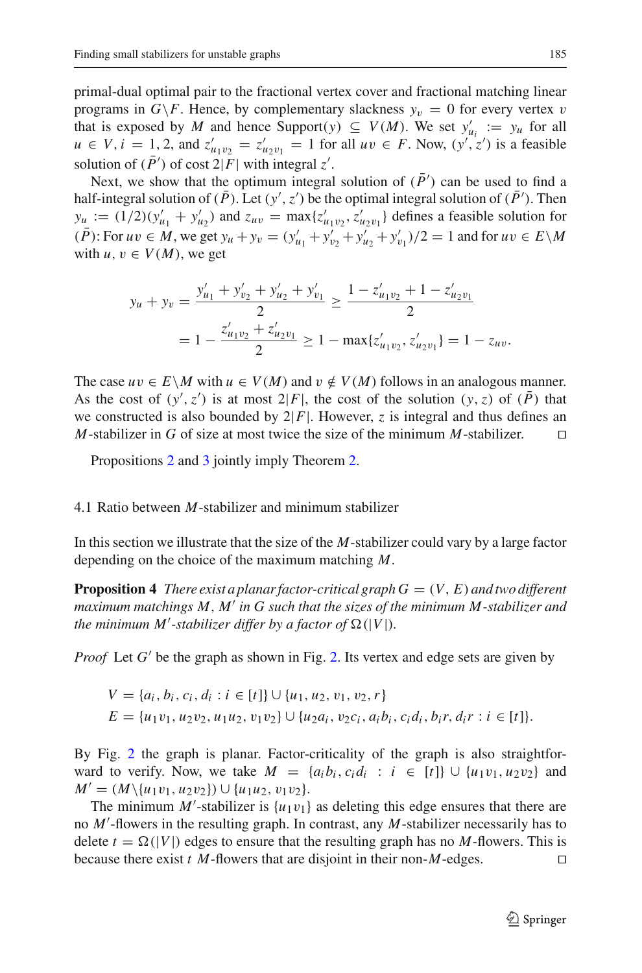primal-dual optimal pair to the fractional vertex cover and fractional matching linear programs in  $G \backslash F$ . Hence, by complementary slackness  $y_v = 0$  for every vertex v that is exposed by *M* and hence Support(*y*)  $\subseteq$  *V(M)*. We set  $y'_{u_i} := y_u$  for all *u* ∈ *V*, *i* = 1, 2, and  $z'_{u_1v_2} = z'_{u_2v_1} = 1$  for all *uv* ∈ *F*. Now,  $(y', z')$  is a feasible solution of  $(P')$  of cost  $2|F|$  with integral *z'*.

Next, we show that the optimum integral solution of  $(P')$  can be used to find a half-integral solution of  $(P)$ . Let  $(y', z')$  be the optimal integral solution of  $(P')$ . Then  $y_u := (1/2)(y'_{u_1} + y'_{u_2})$  and  $z_{uv} = \max\{z'_{u_1v_2}, z'_{u_2v_1}\}\$  defines a feasible solution for  $(P)$ : For  $uv \in M$ , we get  $y_u + y_v = (y'_{u_1} + y'_{v_2} + y'_{u_2} + y'_{v_1})/2 = 1$  and for  $uv \in E\backslash M$ with  $u, v \in V(M)$ , we get

$$
y_u + y_v = \frac{y'_{u_1} + y'_{v_2} + y'_{u_2} + y'_{v_1}}{2} \ge \frac{1 - z'_{u_1v_2} + 1 - z'_{u_2v_1}}{2}
$$
  
= 
$$
1 - \frac{z'_{u_1v_2} + z'_{u_2v_1}}{2} \ge 1 - \max\{z'_{u_1v_2}, z'_{u_2v_1}\} = 1 - z_{uv}.
$$

The case  $uv \in E \backslash M$  with  $u \in V(M)$  and  $v \notin V(M)$  follows in an analogous manner. As the cost of  $(y', z')$  is at most  $2|F|$ , the cost of the solution  $(y, z)$  of  $(P)$  that we constructed is also bounded by  $2|F|$ . However, *z* is integral and thus defines an *M*-stabilizer in *G* of size at most twice the size of the minimum *M*-stabilizer. *M*-stabilizer in *G* of size at most twice the size of the minimum *M*-stabilizer.

Propositions [2](#page-9-1) and [3](#page-10-1) jointly imply Theorem [2.](#page-3-0)

## <span id="page-12-0"></span>4.1 Ratio between *M*-stabilizer and minimum stabilizer

In this section we illustrate that the size of the *M*-stabilizer could vary by a large factor depending on the choice of the maximum matching *M*.

**Proposition 4** *There exist a planar factor-critical graph*  $G = (V, E)$  *and two different maximum matchings M*, *M in G such that the sizes of the minimum M-stabilizer and the minimum M'-stabilizer differ by a factor of*  $\Omega(|V|)$ *.* 

*Proof* Let  $G'$  be the graph as shown in Fig. [2.](#page-13-2) Its vertex and edge sets are given by

$$
V = \{a_i, b_i, c_i, d_i : i \in [t]\} \cup \{u_1, u_2, v_1, v_2, r\}
$$
  

$$
E = \{u_1v_1, u_2v_2, u_1u_2, v_1v_2\} \cup \{u_2a_i, v_2c_i, a_ib_i, c_id_i, b_ir, d_ir : i \in [t]\}.
$$

By Fig. [2](#page-13-2) the graph is planar. Factor-criticality of the graph is also straightforward to verify. Now, we take  $M = \{a_i b_i, c_i d_i : i \in [t] \} \cup \{u_1 v_1, u_2 v_2\}$  and *M'* =  $(M \setminus \{u_1v_1, u_2v_2\}) \cup \{u_1u_2, v_1v_2\}.$ 

The minimum  $M'$ -stabilizer is  $\{u_1v_1\}$  as deleting this edge ensures that there are no *M* -flowers in the resulting graph. In contrast, any *M*-stabilizer necessarily has to delete  $t = \Omega(|V|)$  edges to ensure that the resulting graph has no *M*-flowers. This is because there exist *t M*-flowers that are disjoint in their non-*M*-edges.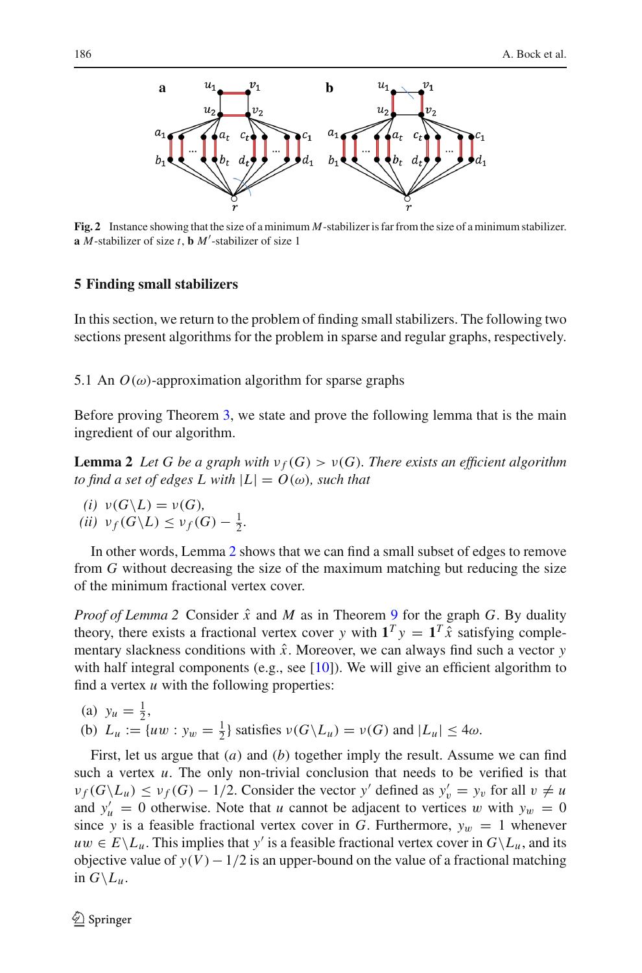

<span id="page-13-2"></span>**Fig. 2** Instance showing that the size of a minimum *M*-stabilizer is far from the size of a minimum stabilizer. **a** *M*-stabilizer of size *t*, **b** *M* -stabilizer of size 1

### <span id="page-13-1"></span>**5 Finding small stabilizers**

In this section, we return to the problem of finding small stabilizers. The following two sections present algorithms for the problem in sparse and regular graphs, respectively.

<span id="page-13-0"></span>5.1 An  $O(\omega)$ -approximation algorithm for sparse graphs

<span id="page-13-3"></span>Before proving Theorem [3,](#page-3-1) we state and prove the following lemma that is the main ingredient of our algorithm.

**Lemma 2** Let G be a graph with  $v_f(G) > v(G)$ . There exists an efficient algorithm *to find a set of edges L with*  $|L| = O(\omega)$ *, such that* 

(i) 
$$
\nu(G \setminus L) = \nu(G),
$$
\n(ii)  $\nu_f(G \setminus L) \leq \nu_f(G) - \frac{1}{2}.$ 

In other words, Lemma [2](#page-13-3) shows that we can find a small subset of edges to remove from *G* without decreasing the size of the maximum matching but reducing the size of the minimum fractional vertex cover.

*Proof of Lemma 2* Consider  $\hat{x}$  and  $M$  as in Theorem [9](#page-5-3) for the graph  $G$ . By duality theory, there exists a fractional vertex cover *y* with  $\mathbf{1}^T y = \mathbf{1}^T \hat{x}$  satisfying complementary slackness conditions with  $\hat{x}$ . Moreover, we can always find such a vector  $y$ with half integral components (e.g., see [\[10\]](#page-22-9)). We will give an efficient algorithm to find a vertex *u* with the following properties:

(a) 
$$
y_u = \frac{1}{2}
$$
,  
(b)  $L_u := \{uw : y_w = \frac{1}{2}\}$  satisfies  $\nu(G \setminus L_u) = \nu(G)$  and  $|L_u| \le 4\omega$ .

First, let us argue that (*a*) and (*b*) together imply the result. Assume we can find such a vertex  $u$ . The only non-trivial conclusion that needs to be verified is that  $\nu_f(G \setminus L_u) \leq \nu_f(G) - 1/2$ . Consider the vector *y'* defined as  $y'_v = y_v$  for all  $v \neq u$ and  $y'_u = 0$  otherwise. Note that *u* cannot be adjacent to vertices *w* with  $y_w = 0$ since *y* is a feasible fractional vertex cover in *G*. Furthermore,  $y_w = 1$  whenever  $uw \in E\backslash L_u$ . This implies that *y'* is a feasible fractional vertex cover in  $G\backslash L_u$ , and its objective value of  $y(V) - 1/2$  is an upper-bound on the value of a fractional matching in  $G \backslash L_u$ .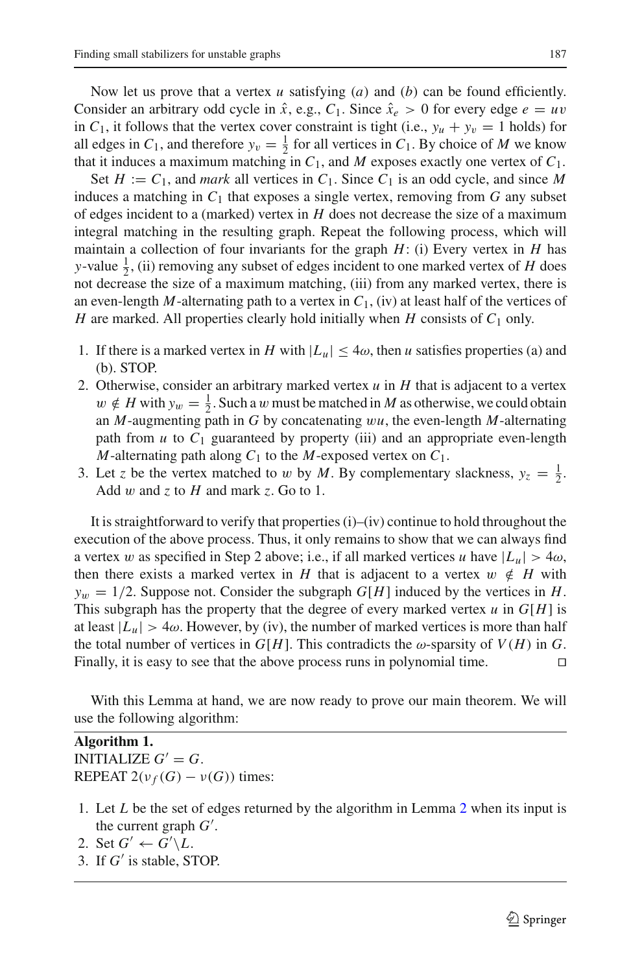Now let us prove that a vertex *u* satisfying (*a*) and (*b*) can be found efficiently. Consider an arbitrary odd cycle in  $\hat{x}$ , e.g.,  $C_1$ . Since  $\hat{x}_e > 0$  for every edge  $e = uv$ in  $C_1$ , it follows that the vertex cover constraint is tight (i.e.,  $y_u + y_v = 1$  holds) for all edges in  $C_1$ , and therefore  $y_v = \frac{1}{2}$  for all vertices in  $C_1$ . By choice of *M* we know that it induces a maximum matching in  $C_1$ , and  $M$  exposes exactly one vertex of  $C_1$ .

Set  $H := C_1$ , and *mark* all vertices in  $C_1$ . Since  $C_1$  is an odd cycle, and since M induces a matching in  $C_1$  that exposes a single vertex, removing from  $G$  any subset of edges incident to a (marked) vertex in *H* does not decrease the size of a maximum integral matching in the resulting graph. Repeat the following process, which will maintain a collection of four invariants for the graph *H*: (i) Every vertex in *H* has *y*-value  $\frac{1}{2}$ , (ii) removing any subset of edges incident to one marked vertex of *H* does not decrease the size of a maximum matching, (iii) from any marked vertex, there is an even-length *M*-alternating path to a vertex in  $C_1$ , (iv) at least half of the vertices of *H* are marked. All properties clearly hold initially when *H* consists of  $C_1$  only.

- 1. If there is a marked vertex in *H* with  $|L_u| \leq 4\omega$ , then *u* satisfies properties (a) and (b). STOP.
- 2. Otherwise, consider an arbitrary marked vertex *u* in *H* that is adjacent to a vertex  $w \notin H$  with  $y_w = \frac{1}{2}$ . Such a w must be matched in *M* as otherwise, we could obtain an *M*-augmenting path in *G* by concatenating w*u*, the even-length *M*-alternating path from  $u$  to  $C_1$  guaranteed by property (iii) and an appropriate even-length *M*-alternating path along  $C_1$  to the *M*-exposed vertex on  $C_1$ .
- 3. Let *z* be the vertex matched to *w* by *M*. By complementary slackness,  $y_z = \frac{1}{2}$ . Add w and *z* to *H* and mark *z*. Go to 1.

It is straightforward to verify that properties  $(i)$ – $(iv)$  continue to hold throughout the execution of the above process. Thus, it only remains to show that we can always find a vertex w as specified in Step 2 above; i.e., if all marked vertices u have  $|L_u| > 4\omega$ , then there exists a marked vertex in *H* that is adjacent to a vertex  $w \notin H$  with  $y_w = 1/2$ . Suppose not. Consider the subgraph  $G[H]$  induced by the vertices in *H*. This subgraph has the property that the degree of every marked vertex  $u$  in  $G[H]$  is at least  $|L_u| > 4\omega$ . However, by (iv), the number of marked vertices is more than half the total number of vertices in  $G[H]$ . This contradicts the  $\omega$ -sparsity of  $V(H)$  in  $G$ . Finally, it is easy to see that the above process runs in polynomial time.  $\Box$ 

With this Lemma at hand, we are now ready to prove our main theorem. We will use the following algorithm:

**Algorithm 1.** INITIALIZE  $G' = G$ . REPEAT  $2(\nu_f(G) - \nu(G))$  times:

- 1. Let *L* be the set of edges returned by the algorithm in Lemma [2](#page-13-3) when its input is the current graph *G* .
- 2. Set  $G' \leftarrow G' \backslash L$ .
- 3. If *G'* is stable, STOP.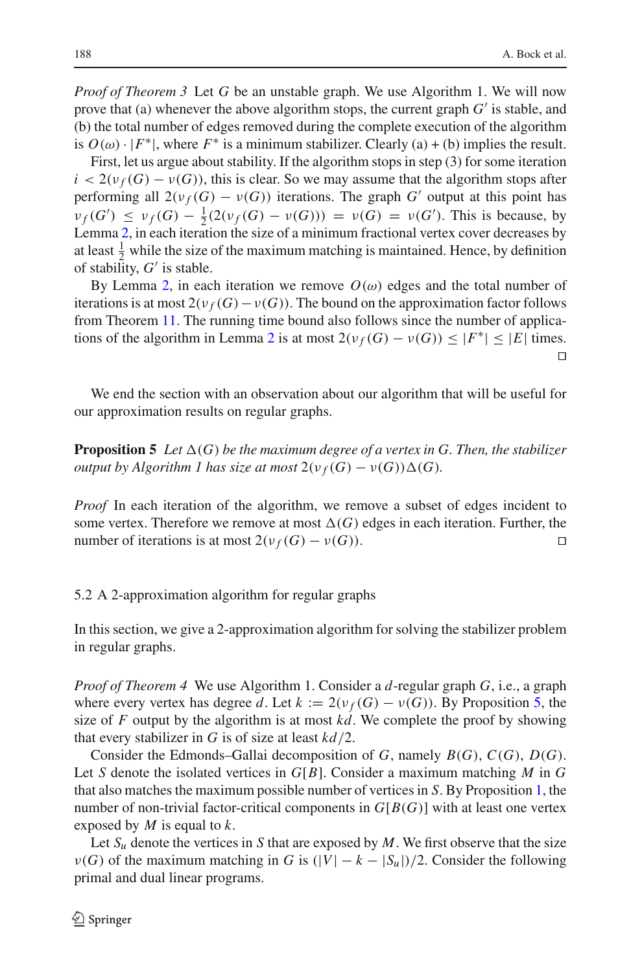*Proof of Theorem 3* Let *G* be an unstable graph. We use Algorithm 1. We will now prove that (a) whenever the above algorithm stops, the current graph *G* is stable, and (b) the total number of edges removed during the complete execution of the algorithm is  $O(\omega) \cdot |F^*|$ , where  $F^*$  is a minimum stabilizer. Clearly (a) + (b) implies the result.

First, let us argue about stability. If the algorithm stops in step (3) for some iteration  $i < 2(\nu_f(G) - \nu(G))$ , this is clear. So we may assume that the algorithm stops after performing all  $2(\nu_f(G) - \nu(G))$  iterations. The graph *G'* output at this point has  $\nu_f(G') \leq \nu_f(G) - \frac{1}{2}(2(\nu_f(G) - \nu(G))) = \nu(G) = \nu(G')$ . This is because, by Lemma [2,](#page-13-3) in each iteration the size of a minimum fractional vertex cover decreases by at least  $\frac{1}{2}$  while the size of the maximum matching is maintained. Hence, by definition of stability,  $G'$  is stable.

By Lemma [2,](#page-13-3) in each iteration we remove  $O(\omega)$  edges and the total number of iterations is at most  $2(\nu_f(G) - \nu(G))$ . The bound on the approximation factor follows from Theorem [11.](#page-8-0) The running time bound also follows since the number of applica-tions of the algorithm in Lemma [2](#page-13-3) is at most  $2(\nu_f(G) - \nu(G)) \leq |F^*| \leq |E|$  times.  $\Box$ 

<span id="page-15-0"></span>We end the section with an observation about our algorithm that will be useful for our approximation results on regular graphs.

**Proposition 5** Let  $\Delta(G)$  be the maximum degree of a vertex in G. Then, the stabilizer *output by Algorithm 1 has size at most*  $2(\nu_f(G) - \nu(G))\Delta(G)$ *.* 

*Proof* In each iteration of the algorithm, we remove a subset of edges incident to some vertex. Therefore we remove at most  $\Delta(G)$  edges in each iteration. Further, the number of iterations is at most  $2(\nu_f(G) - \nu(G))$ .

## 5.2 A 2-approximation algorithm for regular graphs

In this section, we give a 2-approximation algorithm for solving the stabilizer problem in regular graphs.

*Proof of Theorem 4* We use Algorithm 1. Consider a *d*-regular graph *G*, i.e., a graph where every vertex has degree *d*. Let  $k := 2(\nu_f(G) - \nu(G))$ . By Proposition [5,](#page-15-0) the size of *F* output by the algorithm is at most *kd*. We complete the proof by showing that every stabilizer in *G* is of size at least *kd*/2.

Consider the Edmonds–Gallai decomposition of *G*, namely *B*(*G*), *C*(*G*), *D*(*G*). Let *S* denote the isolated vertices in *G*[*B*]. Consider a maximum matching *M* in *G* that also matches the maximum possible number of vertices in *S*. By Proposition [1,](#page-6-2) the number of non-trivial factor-critical components in  $G[B(G)]$  with at least one vertex exposed by *M* is equal to *k*.

Let  $S_u$  denote the vertices in *S* that are exposed by *M*. We first observe that the size  $\nu(G)$  of the maximum matching in *G* is  $(|V| - k - |S_u|)/2$ . Consider the following primal and dual linear programs.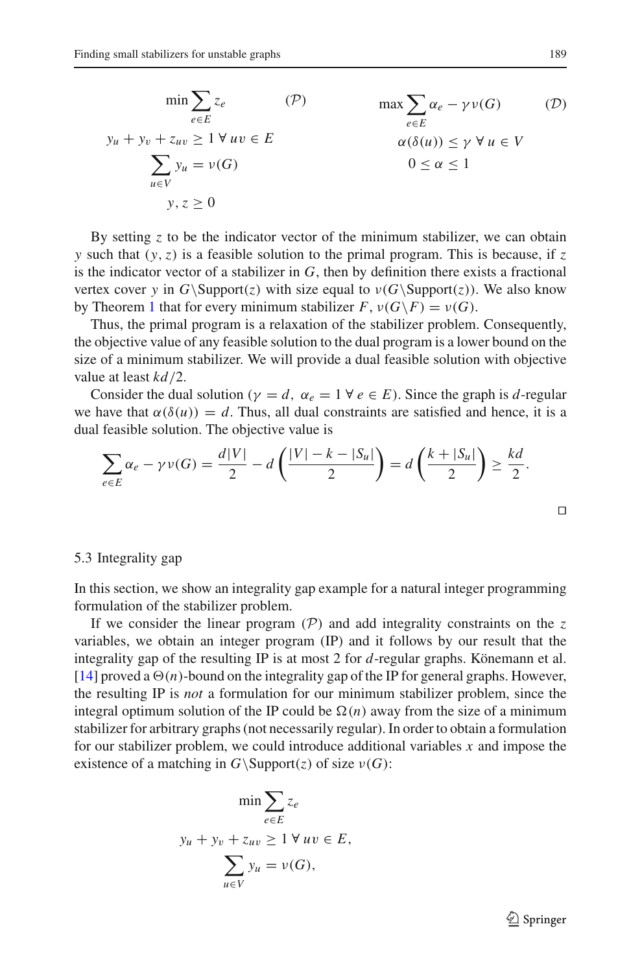$$
\min \sum_{e \in E} z_e \qquad (\mathcal{P}) \qquad \max \sum_{e \in E} \alpha_e - \gamma v(G) \qquad (\mathcal{D})
$$
  

$$
y_u + y_v + z_{uv} \ge 1 \forall uv \in E \qquad \alpha(\delta(u)) \le \gamma \forall u \in V
$$
  

$$
\sum_{u \in V} y_u = v(G) \qquad 0 \le \alpha \le 1
$$
  

$$
y, z \ge 0
$$

By setting *z* to be the indicator vector of the minimum stabilizer, we can obtain *y* such that (*y*,*z*) is a feasible solution to the primal program. This is because, if *z* is the indicator vector of a stabilizer in *G*, then by definition there exists a fractional vertex cover *y* in  $G\operatorname{Support}(z)$  with size equal to  $\nu(G\operatorname{Support}(z))$ . We also know by Theorem [1](#page-2-0) that for every minimum stabilizer  $F$ ,  $\nu(G\backslash F) = \nu(G)$ .

Thus, the primal program is a relaxation of the stabilizer problem. Consequently, the objective value of any feasible solution to the dual program is a lower bound on the size of a minimum stabilizer. We will provide a dual feasible solution with objective value at least *kd*/2.

Consider the dual solution ( $\gamma = d$ ,  $\alpha_e = 1 \ \forall e \in E$ ). Since the graph is *d*-regular we have that  $\alpha(\delta(u)) = d$ . Thus, all dual constraints are satisfied and hence, it is a dual feasible solution. The objective value is

$$
\sum_{e \in E} \alpha_e - \gamma v(G) = \frac{d|V|}{2} - d\left(\frac{|V| - k - |S_u|}{2}\right) = d\left(\frac{k + |S_u|}{2}\right) \ge \frac{kd}{2}.
$$

## 5.3 Integrality gap

In this section, we show an integrality gap example for a natural integer programming formulation of the stabilizer problem.

If we consider the linear program  $(P)$  and add integrality constraints on the  $z$ variables, we obtain an integer program (IP) and it follows by our result that the integrality gap of the resulting IP is at most 2 for *d*-regular graphs. Könemann et al. [\[14](#page-23-11)] proved a  $\Theta(n)$ -bound on the integrality gap of the IP for general graphs. However, the resulting IP is *not* a formulation for our minimum stabilizer problem, since the integral optimum solution of the IP could be  $\Omega(n)$  away from the size of a minimum stabilizer for arbitrary graphs (not necessarily regular). In order to obtain a formulation for our stabilizer problem, we could introduce additional variables *x* and impose the existence of a matching in  $G \setminus \text{Support}(z)$  of size  $\nu(G)$ :

$$
\min \sum_{e \in E} z_e
$$
  

$$
y_u + y_v + z_{uv} \ge 1 \ \forall \ uv \in E,
$$
  

$$
\sum_{u \in V} y_u = v(G),
$$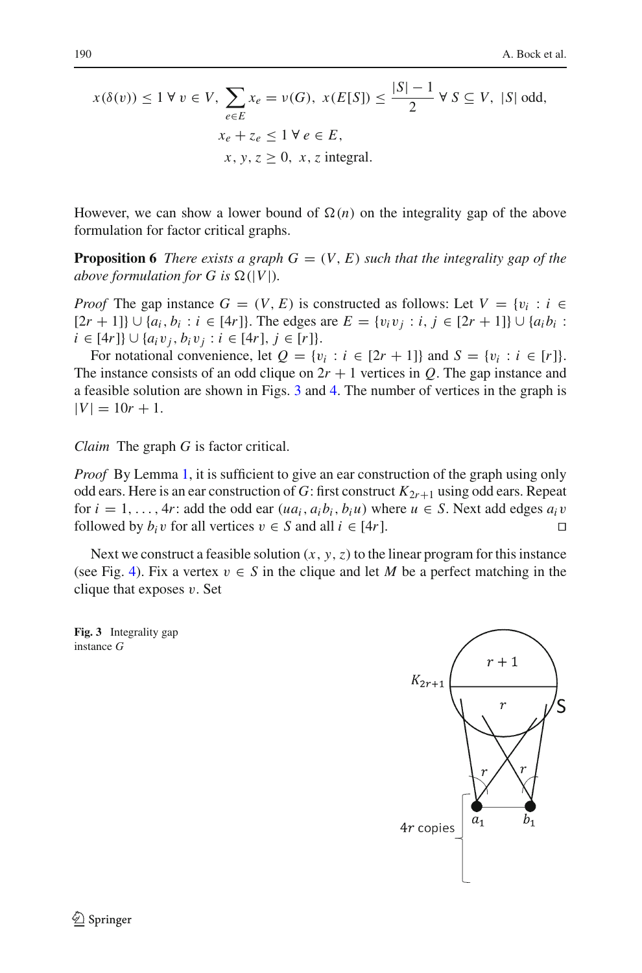$$
x(\delta(v)) \le 1 \,\forall \, v \in V, \sum_{e \in E} x_e = v(G), \, x(E[S]) \le \frac{|S|-1}{2} \,\forall \, S \subseteq V, \, |S| \text{ odd},
$$
  

$$
x_e + z_e \le 1 \,\forall \, e \in E,
$$
  

$$
x, y, z \ge 0, \, x, z \text{ integral}.
$$

However, we can show a lower bound of  $\Omega(n)$  on the integrality gap of the above formulation for factor critical graphs.

**Proposition 6** *There exists a graph G* =  $(V, E)$  *such that the integrality gap of the above formulation for G is*  $\Omega(|V|)$ *.* 

*Proof* The gap instance  $G = (V, E)$  is constructed as follows: Let  $V = \{v_i : i \in E\}$  $[2r + 1]$ } ∪ { $a_i, b_i : i \in [4r]$ }. The edges are  $E = \{v_i v_j : i, j \in [2r + 1]\}$  ∪ { $a_i b_i$ : *i* ∈ [4*r*]} ∪ { $a_i v_j, b_i v_j : i \in [4r], j \in [r]$ }.

For notational convenience, let  $Q = \{v_i : i \in [2r + 1]\}$  and  $S = \{v_i : i \in [r]\}$ . The instance consists of an odd clique on  $2r + 1$  vertices in *Q*. The gap instance and a feasible solution are shown in Figs. [3](#page-17-0) and [4.](#page-18-0) The number of vertices in the graph is  $|V| = 10r + 1.$ 

*Claim* The graph *G* is factor critical.

*Proof* By Lemma [1,](#page-5-2) it is sufficient to give an ear construction of the graph using only odd ears. Here is an ear construction of *G*: first construct  $K_{2r+1}$  using odd ears. Repeat for  $i = 1, ..., 4r$ : add the odd ear  $(ua_i, a_i b_i, b_i u)$  where  $u \in S$ . Next add edges  $a_i v$  followed by  $b_i v$  for all vertices  $v \in S$  and all  $i \in [4r]$ . followed by  $b_i v$  for all vertices  $v \in S$  and all  $i \in [4r]$ .

Next we construct a feasible solution  $(x, y, z)$  to the linear program for this instance (see Fig. [4\)](#page-18-0). Fix a vertex  $v \in S$  in the clique and let M be a perfect matching in the clique that exposes  $v$ . Set

<span id="page-17-0"></span>**Fig. 3** Integrality gap instance *G*

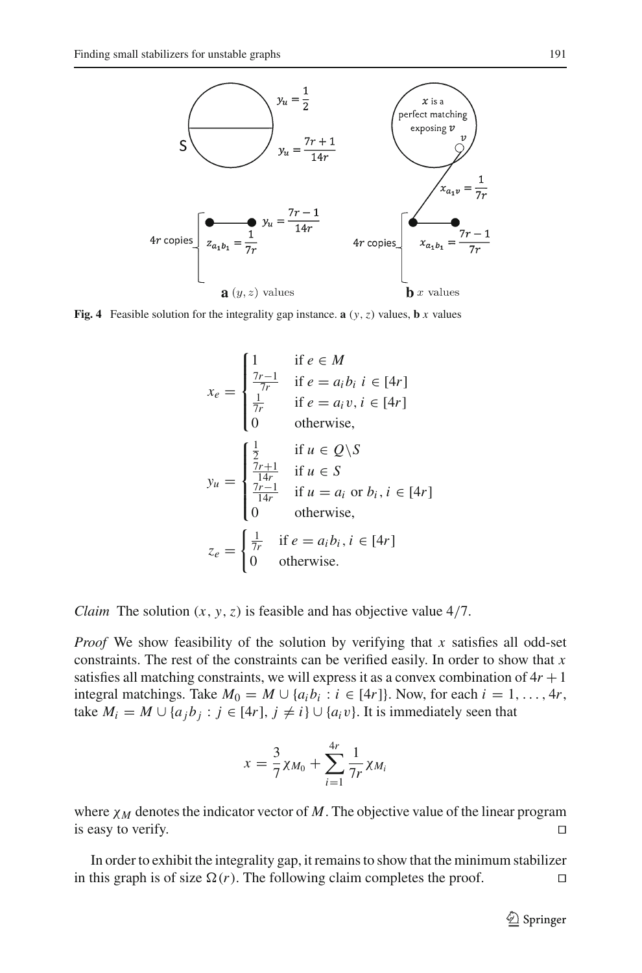

<span id="page-18-0"></span>**Fig. 4** Feasible solution for the integrality gap instance. **a**  $(y, z)$  values, **b** *x* values

$$
x_e = \begin{cases} 1 & \text{if } e \in M \\ \frac{7r-1}{7r} & \text{if } e = a_i b_i \ i \in [4r] \\ \frac{1}{7r} & \text{if } e = a_i v, i \in [4r] \\ 0 & \text{otherwise,} \end{cases}
$$

$$
y_u = \begin{cases} \frac{1}{2} & \text{if } u \in Q \setminus S \\ \frac{7r+1}{14r} & \text{if } u \in S \\ \frac{7r-1}{14r} & \text{if } u = a_i \text{ or } b_i, i \in [4r] \\ 0 & \text{otherwise,} \end{cases}
$$

$$
z_e = \begin{cases} \frac{1}{7r} & \text{if } e = a_i b_i, i \in [4r] \\ 0 & \text{otherwise.} \end{cases}
$$

*Claim* The solution (*x*, *y*,*z*) is feasible and has objective value 4/7.

*Proof* We show feasibility of the solution by verifying that *x* satisfies all odd-set constraints. The rest of the constraints can be verified easily. In order to show that *x* satisfies all matching constraints, we will express it as a convex combination of  $4r + 1$ integral matchings. Take  $M_0 = M \cup \{a_i b_i : i \in [4r]\}\)$ . Now, for each  $i = 1, \ldots, 4r$ , take  $M_i = M \cup \{a_j b_j : j \in [4r], j \neq i\} \cup \{a_i v\}$ . It is immediately seen that

$$
x = \frac{3}{7}\chi_{M_0} + \sum_{i=1}^{4r} \frac{1}{7r}\chi_{M_i}
$$

where  $\chi_M$  denotes the indicator vector of M. The objective value of the linear program is easy to verify.  $\Box$ 

In order to exhibit the integrality gap, it remains to show that the minimum stabilizer in this graph is of size  $\Omega(r)$ . The following claim completes the proof.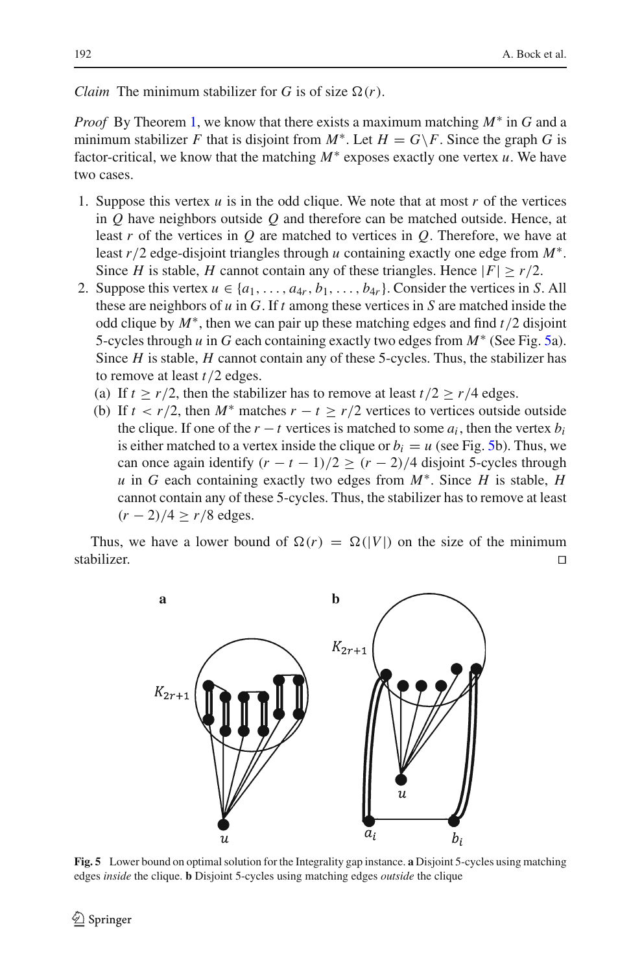*Claim* The minimum stabilizer for *G* is of size  $\Omega(r)$ .

*Proof* By Theorem [1,](#page-2-0) we know that there exists a maximum matching *M*∗ in *G* and a minimum stabilizer *F* that is disjoint from  $M^*$ . Let  $H = G\$ F. Since the graph *G* is factor-critical, we know that the matching *M*∗ exposes exactly one vertex *u*. We have two cases.

- 1. Suppose this vertex *u* is in the odd clique. We note that at most *r* of the vertices in *Q* have neighbors outside *Q* and therefore can be matched outside. Hence, at least *r* of the vertices in *Q* are matched to vertices in *Q*. Therefore, we have at least *r*/2 edge-disjoint triangles through *u* containing exactly one edge from *M*∗. Since *H* is stable, *H* cannot contain any of these triangles. Hence  $|F| \ge r/2$ .
- 2. Suppose this vertex  $u \in \{a_1, \ldots, a_{4r}, b_1, \ldots, b_{4r}\}$ . Consider the vertices in *S*. All these are neighbors of *u* in *G*. If *t* among these vertices in *S* are matched inside the odd clique by *M*∗, then we can pair up these matching edges and find *t*/2 disjoint 5-cycles through *u* in *G* each containing exactly two edges from *M*∗ (See Fig. [5a](#page-19-0)). Since *H* is stable, *H* cannot contain any of these 5-cycles. Thus, the stabilizer has to remove at least *t*/2 edges.
	- (a) If  $t \ge r/2$ , then the stabilizer has to remove at least  $t/2 \ge r/4$  edges.
	- (b) If  $t < r/2$ , then  $M^*$  matches  $r t > r/2$  vertices to vertices outside outside the clique. If one of the  $r - t$  vertices is matched to some  $a_i$ , then the vertex  $b_i$ is either matched to a vertex inside the clique or  $b_i = u$  (see Fig. [5b](#page-19-0)). Thus, we can once again identify  $(r - t - 1)/2 > (r - 2)/4$  disjoint 5-cycles through *u* in *G* each containing exactly two edges from *M*∗. Since *H* is stable, *H* cannot contain any of these 5-cycles. Thus, the stabilizer has to remove at least  $(r - 2)/4 \ge r/8$  edges.

Thus, we have a lower bound of  $\Omega(r) = \Omega(|V|)$  on the size of the minimum stabilizer. stabilizer.



<span id="page-19-0"></span>**Fig. 5** Lower bound on optimal solution for the Integrality gap instance. **a** Disjoint 5-cycles using matching edges *inside* the clique. **b** Disjoint 5-cycles using matching edges *outside* the clique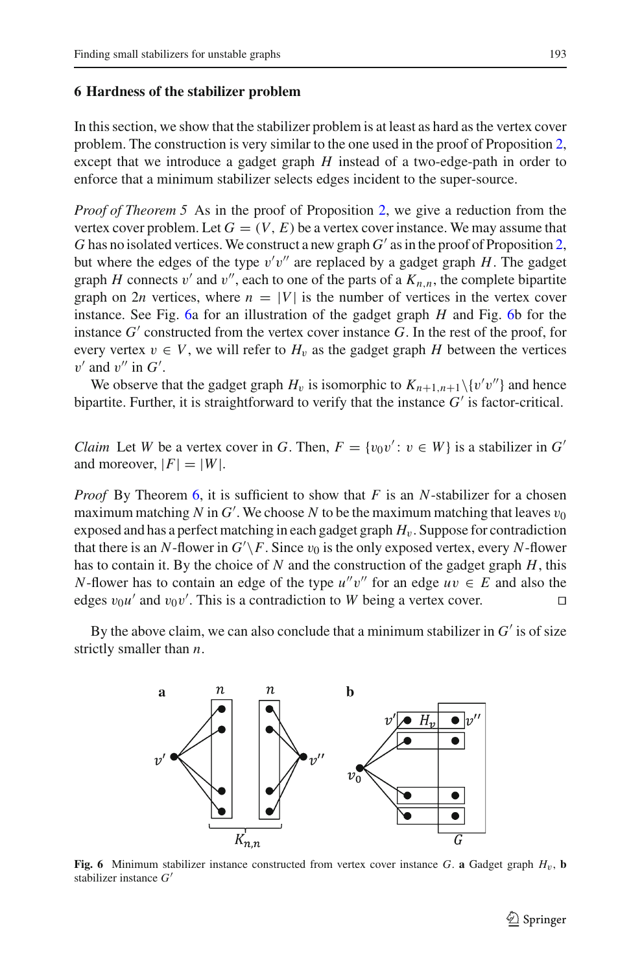#### <span id="page-20-0"></span>**6 Hardness of the stabilizer problem**

In this section, we show that the stabilizer problem is at least as hard as the vertex cover problem. The construction is very similar to the one used in the proof of Proposition [2,](#page-9-1) except that we introduce a gadget graph *H* instead of a two-edge-path in order to enforce that a minimum stabilizer selects edges incident to the super-source.

*Proof of Theorem 5* As in the proof of Proposition [2,](#page-9-1) we give a reduction from the vertex cover problem. Let  $G = (V, E)$  be a vertex cover instance. We may assume that *G* has no isolated vertices. We construct a new graph  $G'$  as in the proof of Proposition [2,](#page-9-1) but where the edges of the type  $v'v''$  are replaced by a gadget graph  $H$ . The gadget graph *H* connects v' and v'', each to one of the parts of a  $K_{n,n}$ , the complete bipartite graph on 2*n* vertices, where  $n = |V|$  is the number of vertices in the vertex cover instance. See Fig. [6a](#page-20-1) for an illustration of the gadget graph *H* and Fig. [6b](#page-20-1) for the instance  $G'$  constructed from the vertex cover instance  $G$ . In the rest of the proof, for every vertex  $v \in V$ , we will refer to  $H_v$  as the gadget graph *H* between the vertices  $v'$  and  $v''$  in  $G'$ .

We observe that the gadget graph  $H_v$  is isomorphic to  $K_{n+1,n+1}\setminus\{v'v''\}$  and hence bipartite. Further, it is straightforward to verify that the instance  $G'$  is factor-critical.

*Claim* Let *W* be a vertex cover in *G*. Then,  $F = \{v_0v' : v \in W\}$  is a stabilizer in *G'* and moreover,  $|F|=|W|$ .

*Proof* By Theorem [6,](#page-5-0) it is sufficient to show that *F* is an *N*-stabilizer for a chosen maximum matching *N* in  $G'$ . We choose *N* to be the maximum matching that leaves  $v_0$ exposed and has a perfect matching in each gadget graph  $H_v$ . Suppose for contradiction that there is an *N*-flower in  $G' \backslash F$ . Since  $v_0$  is the only exposed vertex, every *N*-flower has to contain it. By the choice of *N* and the construction of the gadget graph *H*, this *N*-flower has to contain an edge of the type  $u''v''$  for an edge  $uv \in E$  and also the edges  $v_0 u'$  and  $v_0 v'$ . This is a contradiction to *W* being a vertex cover.

By the above claim, we can also conclude that a minimum stabilizer in  $G'$  is of size strictly smaller than *n*.



<span id="page-20-1"></span>**Fig. 6** Minimum stabilizer instance constructed from vertex cover instance G. **a** Gadget graph  $H_v$ , **b** stabilizer instance *G*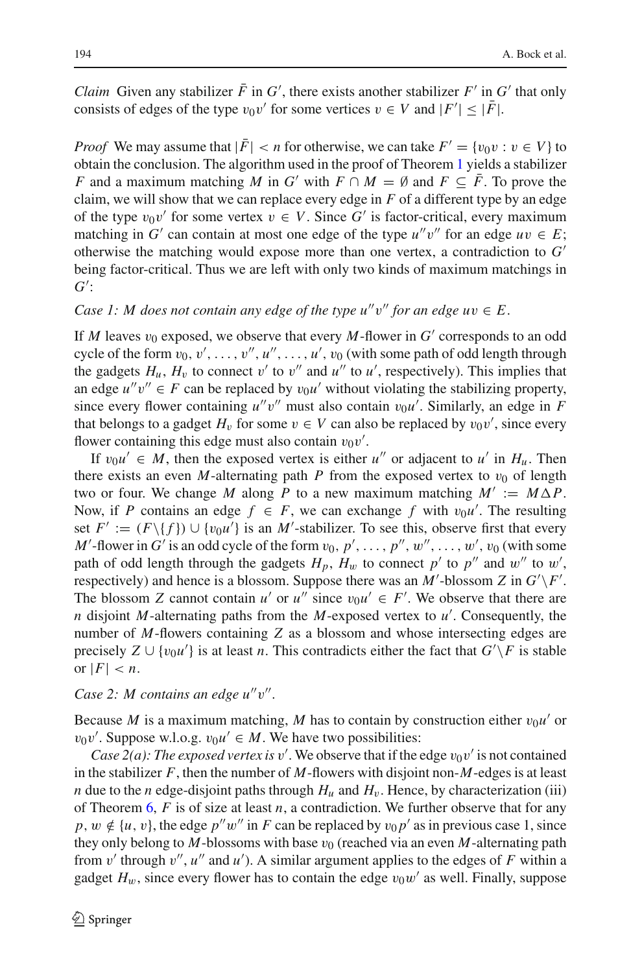*Claim* Given any stabilizer *F* in *G*<sup> $\prime$ </sup>, there exists another stabilizer *F*<sup> $\prime$ </sup> in *G*<sup> $\prime$ </sup> that only consists of edges of the type  $v_0v'$  for some vertices  $v \in V$  and  $|F'| \leq |F|$ .

*Proof* We may assume that  $|\bar{F}| < n$  for otherwise, we can take  $F' = \{v_0v : v \in V\}$  to obtain the conclusion. The algorithm used in the proof of Theorem [1](#page-2-0) yields a stabilizer *F* and a maximum matching *M* in *G'* with  $F \cap M = \emptyset$  and  $F \subseteq F$ . To prove the claim, we will show that we can replace every edge in *F* of a different type by an edge of the type  $v_0v'$  for some vertex  $v \in V$ . Since G' is factor-critical, every maximum matching in *G'* can contain at most one edge of the type  $u''v''$  for an edge  $uv \in E$ ; otherwise the matching would expose more than one vertex, a contradiction to *G* being factor-critical. Thus we are left with only two kinds of maximum matchings in *G* :

*Case 1: M does not contain any edge of the type*  $u''v''$  *for an edge*  $uv \in E$ *.* 

If *M* leaves  $v_0$  exposed, we observe that every *M*-flower in  $G'$  corresponds to an odd cycle of the form  $v_0, v', \ldots, v'', u'', \ldots, u', v_0$  (with some path of odd length through the gadgets  $H_u$ ,  $H_v$  to connect v' to v'' and u'' to u', respectively). This implies that an edge  $u''v'' \in F$  can be replaced by  $v_0u'$  without violating the stabilizing property, since every flower containing  $u''v''$  must also contain  $v_0u'$ . Similarly, an edge in *F* that belongs to a gadget  $H_v$  for some  $v \in V$  can also be replaced by  $v_0v'$ , since every flower containing this edge must also contain  $v_0v'$ .

If  $v_0 u' \in M$ , then the exposed vertex is either *u''* or adjacent to *u'* in  $H_u$ . Then there exists an even *M*-alternating path *P* from the exposed vertex to  $v_0$  of length two or four. We change *M* along *P* to a new maximum matching  $M' := M \Delta P$ . Now, if *P* contains an edge  $f \in F$ , we can exchange *f* with  $v_0u'$ . The resulting set  $F' := (F \setminus \{f\}) \cup \{v_0u'\}$  is an *M'*-stabilizer. To see this, observe first that every *M*'-flower in *G*' is an odd cycle of the form  $v_0, p', \ldots, p''$ ,  $w''$ ,  $\ldots, w'$ ,  $v_0$  (with some path of odd length through the gadgets  $H_p$ ,  $H_w$  to connect  $p'$  to  $p''$  and  $w''$  to  $w'$ , respectively) and hence is a blossom. Suppose there was an *M*'-blossom *Z* in  $G'\backslash F'$ . The blossom *Z* cannot contain *u'* or *u''* since  $v_0u' \in F'$ . We observe that there are *n* disjoint *M*-alternating paths from the *M*-exposed vertex to *u* . Consequently, the number of *M*-flowers containing *Z* as a blossom and whose intersecting edges are precisely  $Z \cup \{v_0u\}$  is at least *n*. This contradicts either the fact that  $G'\backslash F$  is stable or  $|F| < n$ .

## *Case 2: M contains an edge u"v".*

Because *M* is a maximum matching, *M* has to contain by construction either  $v_0u'$  or  $v_0v'$ . Suppose w.l.o.g.  $v_0u' \in M$ . We have two possibilities:

*Case 2(a): The exposed vertex is*  $v'$ . We observe that if the edge  $v_0v'$  is not contained in the stabilizer *F*, then the number of *M*-flowers with disjoint non-*M*-edges is at least *n* due to the *n* edge-disjoint paths through  $H_u$  and  $H_v$ . Hence, by characterization (iii) of Theorem  $6, F$  $6, F$  is of size at least *n*, a contradiction. We further observe that for any *p*,  $w \notin \{u, v\}$ , the edge  $p''w''$  in *F* can be replaced by  $v_0 p'$  as in previous case 1, since they only belong to  $M$ -blossoms with base  $v_0$  (reached via an even  $M$ -alternating path from  $v'$  through  $v''$ ,  $u''$  and  $u'$ ). A similar argument applies to the edges of F within a gadget  $H_w$ , since every flower has to contain the edge  $v_0w'$  as well. Finally, suppose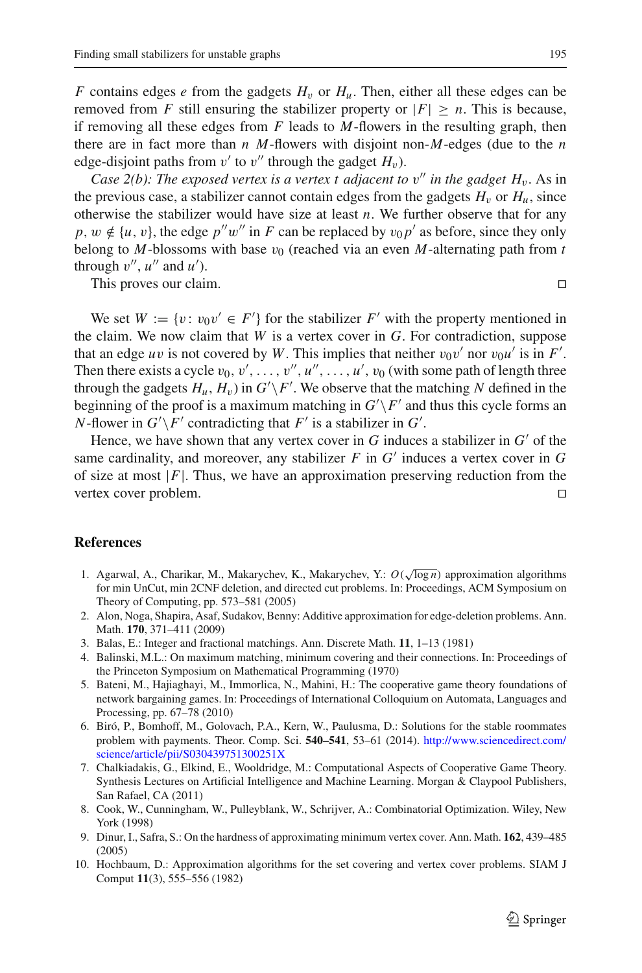*F* contains edges *e* from the gadgets  $H_v$  or  $H_u$ . Then, either all these edges can be removed from *F* still ensuring the stabilizer property or  $|F| > n$ . This is because, if removing all these edges from *F* leads to *M*-flowers in the resulting graph, then there are in fact more than *n M*-flowers with disjoint non-*M*-edges (due to the *n* edge-disjoint paths from  $v'$  to  $v''$  through the gadget  $H_v$ ).

*Case 2(b): The exposed vertex is a vertex t adjacent to*  $v''$  *in the gadget H<sub>v</sub>.* As in the previous case, a stabilizer cannot contain edges from the gadgets  $H<sub>v</sub>$  or  $H<sub>u</sub>$ , since otherwise the stabilizer would have size at least *n*. We further observe that for any *p*,  $w \notin \{u, v\}$ , the edge  $p''w''$  in *F* can be replaced by  $v_0 p'$  as before, since they only belong to  $M$ -blossoms with base  $v_0$  (reached via an even  $M$ -alternating path from  $t$ through  $v''$ ,  $u''$  and  $u'$ ).

This proves our claim.

We set  $W := \{v : v_0v' \in F'\}$  for the stabilizer  $F'$  with the property mentioned in the claim. We now claim that *W* is a vertex cover in *G*. For contradiction, suppose that an edge *uv* is not covered by *W*. This implies that neither  $v_0v'$  nor  $v_0u'$  is in *F'*. Then there exists a cycle  $v_0, v', \ldots, v'', u'', \ldots, u', v_0$  (with some path of length three through the gadgets  $H_u$ ,  $H_v$ ) in  $G' \backslash F'$ . We observe that the matching *N* defined in the beginning of the proof is a maximum matching in  $G'\backslash F'$  and thus this cycle forms an *N*-flower in  $G' \backslash F'$  contradicting that  $F'$  is a stabilizer in  $G'$ .

Hence, we have shown that any vertex cover in  $G$  induces a stabilizer in  $G'$  of the same cardinality, and moreover, any stabilizer  $F$  in  $G'$  induces a vertex cover in  $G$ of size at most  $|F|$ . Thus, we have an approximation preserving reduction from the vertex cover problem. vertex cover problem.

## <span id="page-22-2"></span>**References**

- 1. Agarwal, A., Charikar, M., Makarychev, K., Makarychev, Y.: *O*( <sup>√</sup>log *<sup>n</sup>*) approximation algorithms for min UnCut, min 2CNF deletion, and directed cut problems. In: Proceedings, ACM Symposium on Theory of Computing, pp. 573–581 (2005)
- <span id="page-22-5"></span>2. Alon, Noga, Shapira, Asaf, Sudakov, Benny: Additive approximation for edge-deletion problems. Ann. Math. **170**, 371–411 (2009)
- <span id="page-22-3"></span>3. Balas, E.: Integer and fractional matchings. Ann. Discrete Math. **11**, 1–13 (1981)
- <span id="page-22-6"></span>4. Balinski, M.L.: On maximum matching, minimum covering and their connections. In: Proceedings of the Princeton Symposium on Mathematical Programming (1970)
- <span id="page-22-1"></span>5. Bateni, M., Hajiaghayi, M., Immorlica, N., Mahini, H.: The cooperative game theory foundations of network bargaining games. In: Proceedings of International Colloquium on Automata, Languages and Processing, pp. 67–78 (2010)
- <span id="page-22-4"></span>6. Biró, P., Bomhoff, M., Golovach, P.A., Kern, W., Paulusma, D.: Solutions for the stable roommates problem with payments. Theor. Comp. Sci. **540–541**, 53–61 (2014). [http://www.sciencedirect.com/](http://www.sciencedirect.com/science/article/pii/S030439751300251X) [science/article/pii/S030439751300251X](http://www.sciencedirect.com/science/article/pii/S030439751300251X)
- <span id="page-22-0"></span>7. Chalkiadakis, G., Elkind, E., Wooldridge, M.: Computational Aspects of Cooperative Game Theory. Synthesis Lectures on Artificial Intelligence and Machine Learning. Morgan & Claypool Publishers, San Rafael, CA (2011)
- <span id="page-22-7"></span>8. Cook, W., Cunningham, W., Pulleyblank, W., Schrijver, A.: Combinatorial Optimization. Wiley, New York (1998)
- 9. Dinur, I., Safra, S.: On the hardness of approximating minimum vertex cover. Ann. Math. **162**, 439–485 (2005)
- <span id="page-22-9"></span><span id="page-22-8"></span>10. Hochbaum, D.: Approximation algorithms for the set covering and vertex cover problems. SIAM J Comput **11**(3), 555–556 (1982)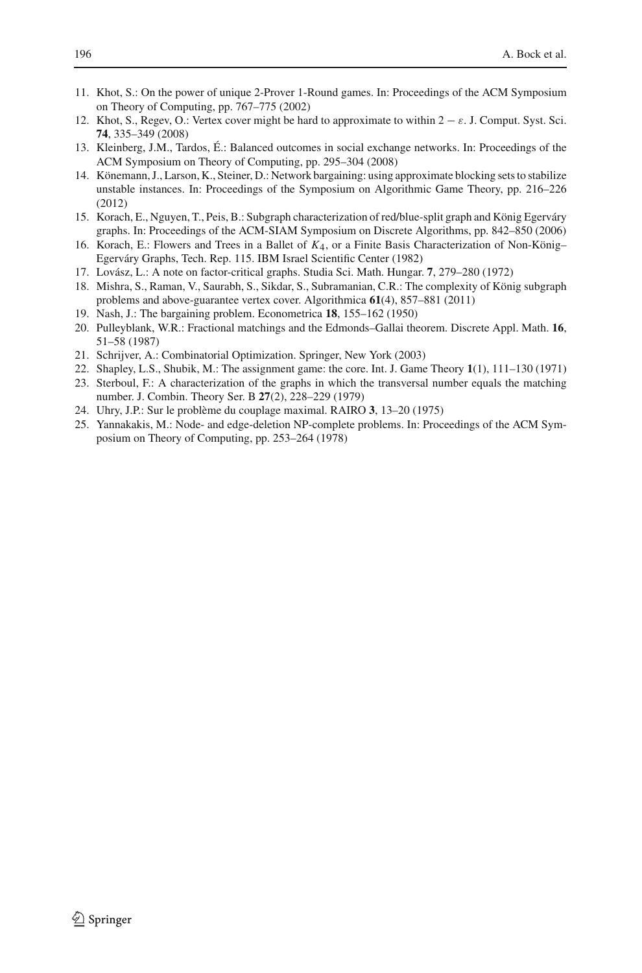- <span id="page-23-9"></span>11. Khot, S.: On the power of unique 2-Prover 1-Round games. In: Proceedings of the ACM Symposium on Theory of Computing, pp. 767–775 (2002)
- <span id="page-23-14"></span>12. Khot, S., Regev, O.: Vertex cover might be hard to approximate to within  $2 - \varepsilon$ . J. Comput. Syst. Sci. **74**, 335–349 (2008)
- <span id="page-23-6"></span>13. Kleinberg, J.M., Tardos, É.: Balanced outcomes in social exchange networks. In: Proceedings of the ACM Symposium on Theory of Computing, pp. 295–304 (2008)
- <span id="page-23-11"></span>14. Könemann, J., Larson, K., Steiner, D.: Network bargaining: using approximate blocking sets to stabilize unstable instances. In: Proceedings of the Symposium on Algorithmic Game Theory, pp. 216–226 (2012)
- <span id="page-23-1"></span>15. Korach, E., Nguyen, T., Peis, B.: Subgraph characterization of red/blue-split graph and König Egerváry graphs. In: Proceedings of the ACM-SIAM Symposium on Discrete Algorithms, pp. 842–850 (2006)
- <span id="page-23-2"></span>16. Korach, E.: Flowers and Trees in a Ballet of *K*4, or a Finite Basis Characterization of Non-König– Egerváry Graphs, Tech. Rep. 115. IBM Israel Scientific Center (1982)
- <span id="page-23-12"></span>17. Lovász, L.: A note on factor-critical graphs. Studia Sci. Math. Hungar. **7**, 279–280 (1972)
- <span id="page-23-3"></span>18. Mishra, S., Raman, V., Saurabh, S., Sikdar, S., Subramanian, C.R.: The complexity of König subgraph problems and above-guarantee vertex cover. Algorithmica **61**(4), 857–881 (2011)
- <span id="page-23-5"></span>19. Nash, J.: The bargaining problem. Econometrica **18**, 155–162 (1950)
- <span id="page-23-7"></span>20. Pulleyblank, W.R.: Fractional matchings and the Edmonds–Gallai theorem. Discrete Appl. Math. **16**, 51–58 (1987)
- <span id="page-23-13"></span>21. Schrijver, A.: Combinatorial Optimization. Springer, New York (2003)
- 22. Shapley, L.S., Shubik, M.: The assignment game: the core. Int. J. Game Theory **1**(1), 111–130 (1971)
- <span id="page-23-4"></span><span id="page-23-0"></span>23. Sterboul, F.: A characterization of the graphs in which the transversal number equals the matching number. J. Combin. Theory Ser. B **27**(2), 228–229 (1979)
- <span id="page-23-8"></span>24. Uhry, J.P.: Sur le problème du couplage maximal. RAIRO **3**, 13–20 (1975)
- <span id="page-23-10"></span>25. Yannakakis, M.: Node- and edge-deletion NP-complete problems. In: Proceedings of the ACM Symposium on Theory of Computing, pp. 253–264 (1978)